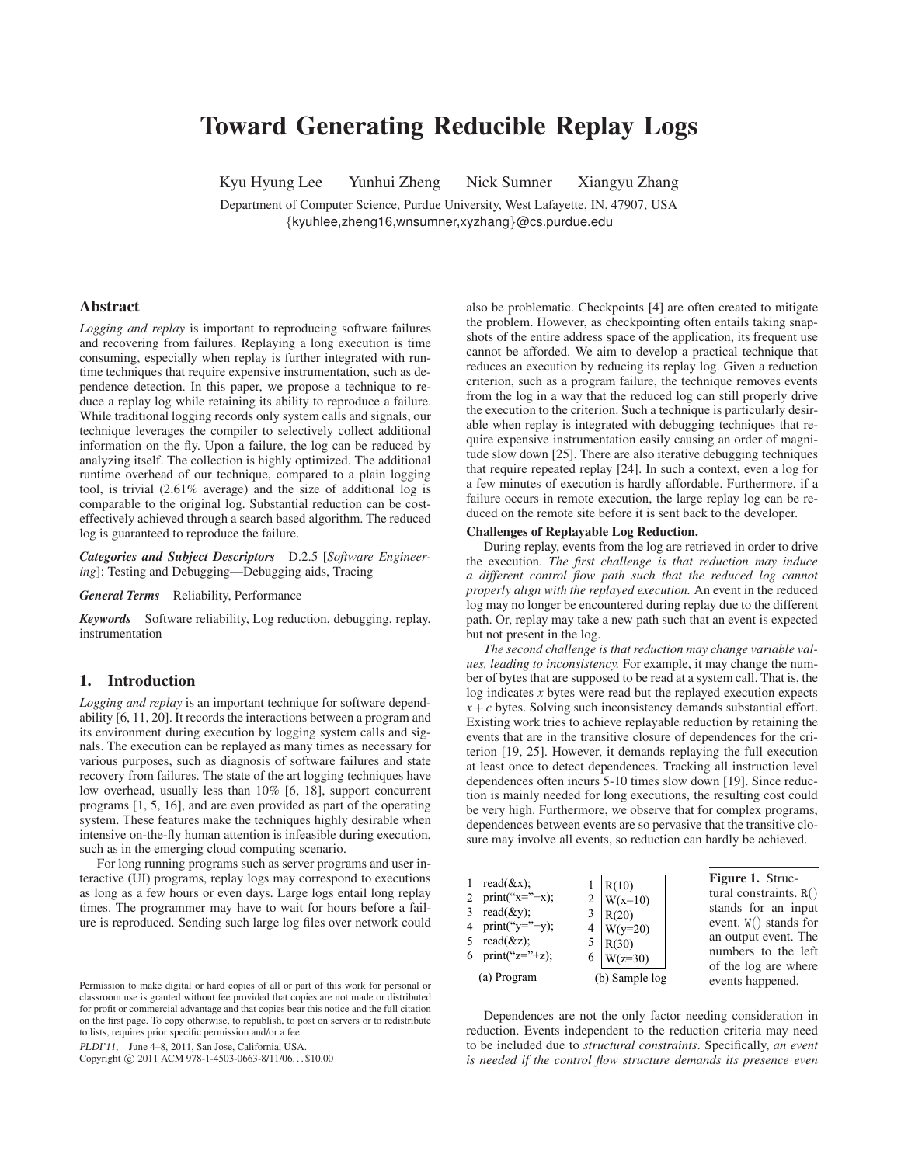# Toward Generating Reducible Replay Logs

Kyu Hyung Lee Yunhui Zheng Nick Sumner Xiangyu Zhang

Department of Computer Science, Purdue University, West Lafayette, IN, 47907, USA {kyuhlee,zheng16,wnsumner,xyzhang}@cs.purdue.edu

# Abstract

*Logging and replay* is important to reproducing software failures and recovering from failures. Replaying a long execution is time consuming, especially when replay is further integrated with runtime techniques that require expensive instrumentation, such as dependence detection. In this paper, we propose a technique to reduce a replay log while retaining its ability to reproduce a failure. While traditional logging records only system calls and signals, our technique leverages the compiler to selectively collect additional information on the fly. Upon a failure, the log can be reduced by analyzing itself. The collection is highly optimized. The additional runtime overhead of our technique, compared to a plain logging tool, is trivial (2.61% average) and the size of additional log is comparable to the original log. Substantial reduction can be costeffectively achieved through a search based algorithm. The reduced log is guaranteed to reproduce the failure.

*Categories and Subject Descriptors* D.2.5 [*Software Engineering*]: Testing and Debugging—Debugging aids, Tracing

*General Terms* Reliability, Performance

*Keywords* Software reliability, Log reduction, debugging, replay, instrumentation

# 1. Introduction

*Logging and replay* is an important technique for software dependability [6, 11, 20]. It records the interactions between a program and its environment during execution by logging system calls and signals. The execution can be replayed as many times as necessary for various purposes, such as diagnosis of software failures and state recovery from failures. The state of the art logging techniques have low overhead, usually less than 10% [6, 18], support concurrent programs [1, 5, 16], and are even provided as part of the operating system. These features make the techniques highly desirable when intensive on-the-fly human attention is infeasible during execution, such as in the emerging cloud computing scenario.

For long running programs such as server programs and user interactive (UI) programs, replay logs may correspond to executions as long as a few hours or even days. Large logs entail long replay times. The programmer may have to wait for hours before a failure is reproduced. Sending such large log files over network could

PLDI'11, June 4–8, 2011, San Jose, California, USA.

Copyright © 2011 ACM 978-1-4503-0663-8/11/06... \$10.00

also be problematic. Checkpoints [4] are often created to mitigate the problem. However, as checkpointing often entails taking snapshots of the entire address space of the application, its frequent use cannot be afforded. We aim to develop a practical technique that reduces an execution by reducing its replay log. Given a reduction criterion, such as a program failure, the technique removes events from the log in a way that the reduced log can still properly drive the execution to the criterion. Such a technique is particularly desirable when replay is integrated with debugging techniques that require expensive instrumentation easily causing an order of magnitude slow down [25]. There are also iterative debugging techniques that require repeated replay [24]. In such a context, even a log for a few minutes of execution is hardly affordable. Furthermore, if a failure occurs in remote execution, the large replay log can be reduced on the remote site before it is sent back to the developer.

### Challenges of Replayable Log Reduction.

During replay, events from the log are retrieved in order to drive the execution. *The first challenge is that reduction may induce a different control flow path such that the reduced log cannot properly align with the replayed execution.* An event in the reduced log may no longer be encountered during replay due to the different path. Or, replay may take a new path such that an event is expected but not present in the log.

*The second challenge is that reduction may change variable values, leading to inconsistency.* For example, it may change the number of bytes that are supposed to be read at a system call. That is, the log indicates *x* bytes were read but the replayed execution expects  $x + c$  bytes. Solving such inconsistency demands substantial effort. Existing work tries to achieve replayable reduction by retaining the events that are in the transitive closure of dependences for the criterion [19, 25]. However, it demands replaying the full execution at least once to detect dependences. Tracking all instruction level dependences often incurs 5-10 times slow down [19]. Since reduction is mainly needed for long executions, the resulting cost could be very high. Furthermore, we observe that for complex programs, dependences between events are so pervasive that the transitive closure may involve all events, so reduction can hardly be achieved.

| 1 read $(\& x)$ ;<br>2 $print("x="x")$ ;<br>3 read $(\&$ y);<br>4 print(" $y =$ "+y);<br>5 read $(\&z)$ ;<br>6 $print("z="z")$ ;<br>(a) Program | 1   R(10)<br>2   $W(x=10)$<br>3   R(20)<br>4   W(y=20)<br>5   R(30)<br>6   W(z=30)<br>(b) Sample log | Figure 1. Struc-<br>tural constraints. $R()$<br>stands for an input<br>event. $W()$ stands for<br>an output event. The<br>numbers to the left<br>of the log are where<br>events happened. |
|-------------------------------------------------------------------------------------------------------------------------------------------------|------------------------------------------------------------------------------------------------------|-------------------------------------------------------------------------------------------------------------------------------------------------------------------------------------------|
|-------------------------------------------------------------------------------------------------------------------------------------------------|------------------------------------------------------------------------------------------------------|-------------------------------------------------------------------------------------------------------------------------------------------------------------------------------------------|

Dependences are not the only factor needing consideration in reduction. Events independent to the reduction criteria may need to be included due to *structural constraints*. Specifically, *an event is needed if the control flow structure demands its presence even*

Permission to make digital or hard copies of all or part of this work for personal or classroom use is granted without fee provided that copies are not made or distributed for profit or commercial advantage and that copies bear this notice and the full citation on the first page. To copy otherwise, to republish, to post on servers or to redistribute to lists, requires prior specific permission and/or a fee.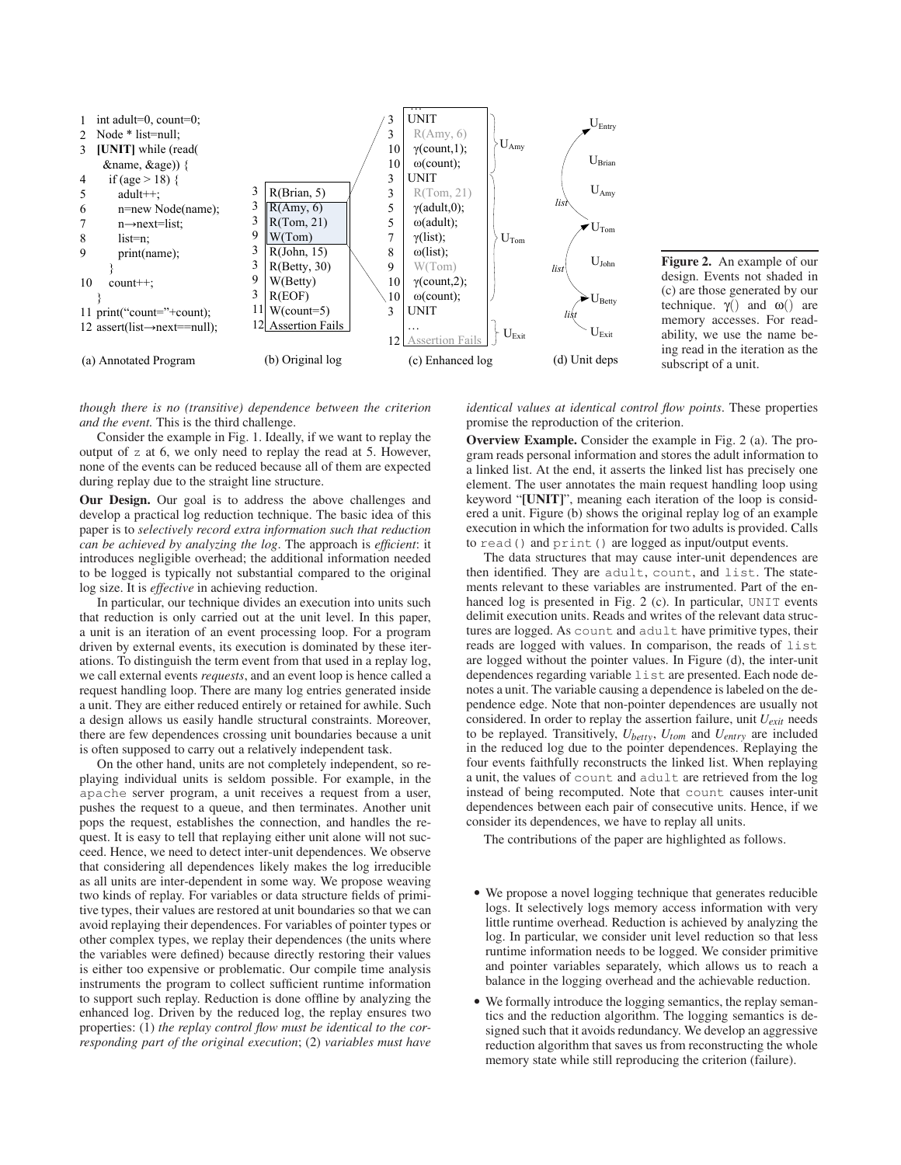

Figure 2. An example of our design. Events not shaded in (c) are those generated by our technique.  $\gamma$ () and  $\omega$ () are memory accesses. For readability, we use the name being read in the iteration as the subscript of a unit.

*though there is no (transitive) dependence between the criterion and the event.* This is the third challenge.

Consider the example in Fig. 1. Ideally, if we want to replay the output of z at 6, we only need to replay the read at 5. However, none of the events can be reduced because all of them are expected during replay due to the straight line structure.

Our Design. Our goal is to address the above challenges and develop a practical log reduction technique. The basic idea of this paper is to *selectively record extra information such that reduction can be achieved by analyzing the log*. The approach is *efficient*: it introduces negligible overhead; the additional information needed to be logged is typically not substantial compared to the original log size. It is *effective* in achieving reduction.

In particular, our technique divides an execution into units such that reduction is only carried out at the unit level. In this paper, a unit is an iteration of an event processing loop. For a program driven by external events, its execution is dominated by these iterations. To distinguish the term event from that used in a replay log, we call external events *requests*, and an event loop is hence called a request handling loop. There are many log entries generated inside a unit. They are either reduced entirely or retained for awhile. Such a design allows us easily handle structural constraints. Moreover, there are few dependences crossing unit boundaries because a unit is often supposed to carry out a relatively independent task.

On the other hand, units are not completely independent, so replaying individual units is seldom possible. For example, in the apache server program, a unit receives a request from a user, pushes the request to a queue, and then terminates. Another unit pops the request, establishes the connection, and handles the request. It is easy to tell that replaying either unit alone will not succeed. Hence, we need to detect inter-unit dependences. We observe that considering all dependences likely makes the log irreducible as all units are inter-dependent in some way. We propose weaving two kinds of replay. For variables or data structure fields of primitive types, their values are restored at unit boundaries so that we can avoid replaying their dependences. For variables of pointer types or other complex types, we replay their dependences (the units where the variables were defined) because directly restoring their values is either too expensive or problematic. Our compile time analysis instruments the program to collect sufficient runtime information to support such replay. Reduction is done offline by analyzing the enhanced log. Driven by the reduced log, the replay ensures two properties: (1) *the replay control flow must be identical to the corresponding part of the original execution*; (2) *variables must have*

*identical values at identical control flow points*. These properties promise the reproduction of the criterion.

Overview Example. Consider the example in Fig. 2 (a). The program reads personal information and stores the adult information to a linked list. At the end, it asserts the linked list has precisely one element. The user annotates the main request handling loop using keyword "[UNIT]", meaning each iteration of the loop is considered a unit. Figure (b) shows the original replay log of an example execution in which the information for two adults is provided. Calls to read() and print() are logged as input/output events.

The data structures that may cause inter-unit dependences are then identified. They are adult, count, and list. The statements relevant to these variables are instrumented. Part of the enhanced log is presented in Fig. 2 (c). In particular, UNIT events delimit execution units. Reads and writes of the relevant data structures are logged. As count and adult have primitive types, their reads are logged with values. In comparison, the reads of list are logged without the pointer values. In Figure (d), the inter-unit dependences regarding variable list are presented. Each node denotes a unit. The variable causing a dependence is labeled on the dependence edge. Note that non-pointer dependences are usually not considered. In order to replay the assertion failure, unit *Uexit* needs to be replayed. Transitively, *Ubetty*, *Utom* and *Uentry* are included in the reduced log due to the pointer dependences. Replaying the four events faithfully reconstructs the linked list. When replaying a unit, the values of count and adult are retrieved from the log instead of being recomputed. Note that count causes inter-unit dependences between each pair of consecutive units. Hence, if we consider its dependences, we have to replay all units.

The contributions of the paper are highlighted as follows.

- We propose a novel logging technique that generates reducible logs. It selectively logs memory access information with very little runtime overhead. Reduction is achieved by analyzing the log. In particular, we consider unit level reduction so that less runtime information needs to be logged. We consider primitive and pointer variables separately, which allows us to reach a balance in the logging overhead and the achievable reduction.
- We formally introduce the logging semantics, the replay semantics and the reduction algorithm. The logging semantics is designed such that it avoids redundancy. We develop an aggressive reduction algorithm that saves us from reconstructing the whole memory state while still reproducing the criterion (failure).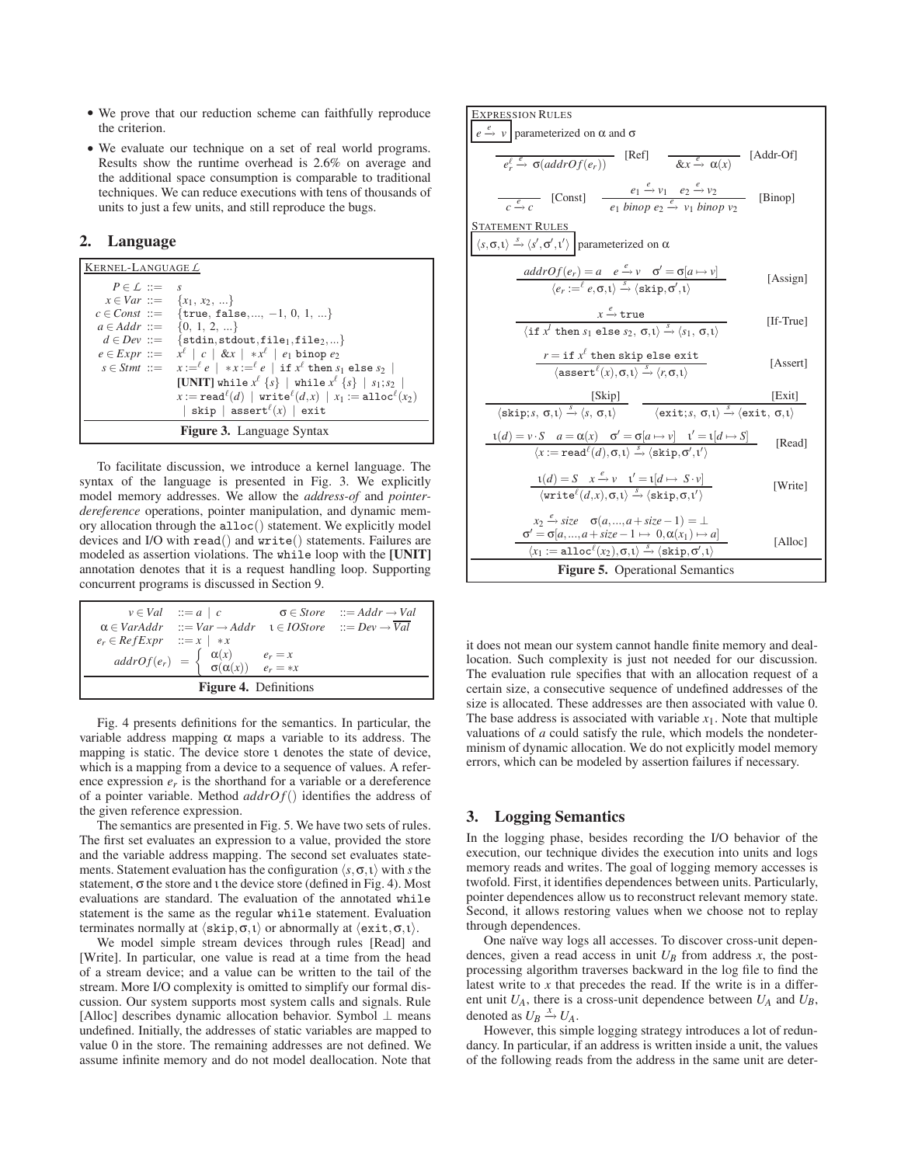- We prove that our reduction scheme can faithfully reproduce the criterion.
- We evaluate our technique on a set of real world programs. Results show the runtime overhead is 2.6% on average and the additional space consumption is comparable to traditional techniques. We can reduce executions with tens of thousands of units to just a few units, and still reproduce the bugs.

# 2. Language

| KERNEL-LANGUAGE L                |                                                                                                                     |  |  |  |  |
|----------------------------------|---------------------------------------------------------------------------------------------------------------------|--|--|--|--|
| $P \in \mathcal{L} ::=$ s        |                                                                                                                     |  |  |  |  |
| $x \in Var := \{x_1, x_2,  \}$   |                                                                                                                     |  |  |  |  |
|                                  | $c \in Const$ ::= {true, false,, -1, 0, 1, }                                                                        |  |  |  |  |
| $a \in Addr ::= \{0, 1, 2, \}$   |                                                                                                                     |  |  |  |  |
|                                  | $d \in Dev ::= \{ \text{stdin}, \text{stdout}, \text{file}_1, \text{file}_2, \dots \}$                              |  |  |  |  |
|                                  | $e \in \text{Expr} ::= x^{\ell}   c   \& x   * x^{\ell}   e_1 \text{ binop} e_2$                                    |  |  |  |  |
|                                  | $s \in S$ tmt ::= $x := \ell e \mid *x := \ell e \mid \text{if } x^{\ell} \text{ then } s_1 \text{ else } s_2 \mid$ |  |  |  |  |
|                                  | [UNIT] while $x^{\ell} \{s\}$   while $x^{\ell} \{s\}$   $s_1; s_2$                                                 |  |  |  |  |
|                                  | $x := \texttt{read}^{\ell}(d) \mid \texttt{write}^{\ell}(d,x) \mid x_1 := \texttt{alloc}^{\ell}(x_2)$               |  |  |  |  |
| skip   assert $\ell(x)$   exit   |                                                                                                                     |  |  |  |  |
| <b>Figure 3.</b> Language Syntax |                                                                                                                     |  |  |  |  |

To facilitate discussion, we introduce a kernel language. The syntax of the language is presented in Fig. 3. We explicitly model memory addresses. We allow the *address-of* and *pointerdereference* operations, pointer manipulation, and dynamic memory allocation through the alloc() statement. We explicitly model devices and I/O with read() and write() statements. Failures are modeled as assertion violations. The while loop with the [UNIT] annotation denotes that it is a request handling loop. Supporting concurrent programs is discussed in Section 9.

|                                      | $v \in Val$ ::= a   c                                                                           | $\sigma \in \textit{Store}$ | $\therefore = Addr \rightarrow Val$ |  |  |
|--------------------------------------|-------------------------------------------------------------------------------------------------|-----------------------------|-------------------------------------|--|--|
|                                      | $\alpha \in V$ arAddr ::= $Var \rightarrow Addr$ $\iota \in IOS$ tore ::= $Dev \rightarrow Val$ |                             |                                     |  |  |
| $e_r \in \text{RefExpr}$ ::= x   * x |                                                                                                 |                             |                                     |  |  |
|                                      | $addrof(e_r) = \begin{cases} \alpha(x) & e_r = x \\ \sigma(\alpha(x)) & e_r = *x \end{cases}$   |                             |                                     |  |  |
|                                      |                                                                                                 |                             |                                     |  |  |
| <b>Figure 4. Definitions</b>         |                                                                                                 |                             |                                     |  |  |

Fig. 4 presents definitions for the semantics. In particular, the variable address mapping  $\alpha$  maps a variable to its address. The mapping is static. The device store ι denotes the state of device, which is a mapping from a device to a sequence of values. A reference expression *er* is the shorthand for a variable or a dereference of a pointer variable. Method *addrO f*() identifies the address of the given reference expression.

The semantics are presented in Fig. 5. We have two sets of rules. The first set evaluates an expression to a value, provided the store and the variable address mapping. The second set evaluates statements. Statement evaluation has the configuration  $\langle s, \sigma, \iota \rangle$  with *s* the statement,  $\sigma$  the store and *l* the device store (defined in Fig. 4). Most evaluations are standard. The evaluation of the annotated while statement is the same as the regular while statement. Evaluation terminates normally at  $\langle \text{skip}, \sigma, \iota \rangle$  or abnormally at  $\langle \text{exit}, \sigma, \iota \rangle$ .

We model simple stream devices through rules [Read] and [Write]. In particular, one value is read at a time from the head of a stream device; and a value can be written to the tail of the stream. More I/O complexity is omitted to simplify our formal discussion. Our system supports most system calls and signals. Rule [Alloc] describes dynamic allocation behavior. Symbol ⊥ means undefined. Initially, the addresses of static variables are mapped to value 0 in the store. The remaining addresses are not defined. We assume infinite memory and do not model deallocation. Note that

| Expression Rules                                                                                                                                                                                                                                                                                   |             |
|----------------------------------------------------------------------------------------------------------------------------------------------------------------------------------------------------------------------------------------------------------------------------------------------------|-------------|
| $e \xrightarrow{e} v$ parameterized on $\alpha$ and $\sigma$                                                                                                                                                                                                                                       |             |
| [Ref]<br>$\&x \stackrel{e}{\rightarrow} \alpha(x)$<br>$e_r^{\ell} \stackrel{e}{\rightarrow} \sigma(addrOf(e_r))$                                                                                                                                                                                   | [Addr-Of]   |
| $rac{e_1}{c}$ [Const] $rac{e_1}{e_1 \text{ binop } e_2}$ $rac{e_2}{e_2} \frac{e_1}{e_1}$ $rac{e_2}{e_1} \frac{e_2}{e_1}$ $rac{e_2}{e_1} \frac{e_1}{e_1}$                                                                                                                                           | [Binop]     |
| <b>STATEMENT RULES</b>                                                                                                                                                                                                                                                                             |             |
| $\langle s, \sigma, \iota \rangle \stackrel{s}{\rightarrow} \langle s', \sigma', \iota' \rangle$ parameterized on $\alpha$                                                                                                                                                                         |             |
| $\frac{addrOf(e_r) = a \quad e \xrightarrow{e} v \quad \sigma' = \sigma[a \mapsto v]}{\langle e_r := e \cdot \sigma, \tau \rangle \xrightarrow{s} \langle \text{skip}, \sigma', \tau \rangle}$                                                                                                     | [Assign]    |
| $x \xrightarrow{e} \text{true}$<br>$\langle \text{if } x^l \text{ then } s_1 \text{ else } s_2, \sigma, t \rangle \xrightarrow{s} \langle s_1, \sigma, t \rangle$                                                                                                                                  | $[If-True]$ |
| $r = \texttt{if}~x^{\ell}$ then skip else exit<br>$\langle \text{assert}^{\ell}(x), \sigma, 1 \rangle \stackrel{s}{\rightarrow} \langle r, \sigma, 1 \rangle$                                                                                                                                      | [Assert]    |
|                                                                                                                                                                                                                                                                                                    | [Exit]      |
| $\frac{\text{[Skip]}}{\langle \text{skip},s,\,\sigma,\iota \rangle \xrightarrow{S} \langle s,\,\sigma,\iota \rangle}$ $\frac{\text{[Skip]}}{\langle \text{exit},s,\,\sigma,\iota \rangle \xrightarrow{S} \langle \text{exit},\,\sigma,\iota \rangle}$                                              |             |
| $\iota(d) = v \cdot S \quad a = \alpha(x) \quad \sigma' = \sigma[a \mapsto v] \quad \iota' = \iota[d \mapsto S]$<br>$\langle x:=\texttt{read}^{\ell}(d), \sigma, 1\rangle \stackrel{s}{\rightarrow} \langle \texttt{skip}, \sigma', 1'\rangle$                                                     | [Read]      |
| $\frac{\iota(d) = S \quad x \xrightarrow{e} v \quad \iota' = \iota[d \mapsto S \cdot v]}{\langle \text{write}^{\ell}(d, x), \sigma, \iota \rangle \xrightarrow{S} \langle \text{skip}, \sigma, \iota' \rangle}$                                                                                    | [Write]     |
| $x_2 \stackrel{e}{\rightarrow} size \quad \sigma(a, , a + size - 1) = \perp$<br>$\sigma' = \sigma[a,,a + size - 1 \mapsto 0, \alpha(x_1) \mapsto a]$<br>$\langle x_1 := \texttt{alloc}^{\ell}(x_2), \sigma, \iota \rangle \stackrel{s}{\rightarrow} \langle \texttt{skip}, \sigma', \iota \rangle$ | [Alloc]     |
| Figure 5. Operational Semantics                                                                                                                                                                                                                                                                    |             |

it does not mean our system cannot handle finite memory and deallocation. Such complexity is just not needed for our discussion. The evaluation rule specifies that with an allocation request of a certain size, a consecutive sequence of undefined addresses of the size is allocated. These addresses are then associated with value 0. The base address is associated with variable  $x_1$ . Note that multiple valuations of *a* could satisfy the rule, which models the nondeterminism of dynamic allocation. We do not explicitly model memory errors, which can be modeled by assertion failures if necessary.

# 3. Logging Semantics

In the logging phase, besides recording the I/O behavior of the execution, our technique divides the execution into units and logs memory reads and writes. The goal of logging memory accesses is twofold. First, it identifies dependences between units. Particularly, pointer dependences allow us to reconstruct relevant memory state. Second, it allows restoring values when we choose not to replay through dependences.

One naïve way logs all accesses. To discover cross-unit dependences, given a read access in unit  $U_B$  from address  $x$ , the postprocessing algorithm traverses backward in the log file to find the latest write to *x* that precedes the read. If the write is in a different unit  $U_A$ , there is a cross-unit dependence between  $U_A$  and  $U_B$ , denoted as  $U_B \xrightarrow{x} U_A$ .

However, this simple logging strategy introduces a lot of redundancy. In particular, if an address is written inside a unit, the values of the following reads from the address in the same unit are deter-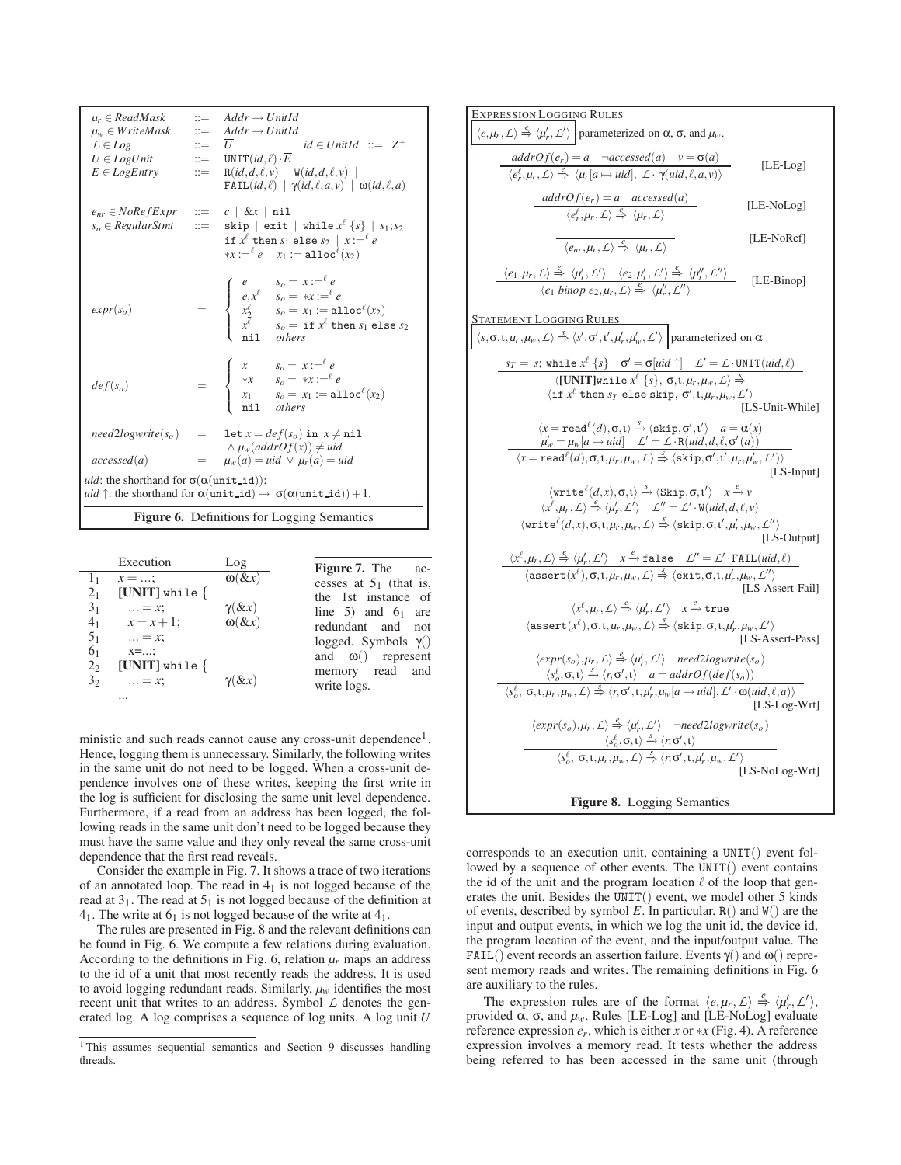| $\mu_r \in ReadMask$<br>$\mu_w \in WriteMask$<br>$\mathcal{L} \in Log$<br>$U \in LogUnit$ ::= $UNIT(id, \ell) \cdot \overline{E}$<br>$E \in LogEntry$                               | $\therefore = \overline{U}$ | $ ::= Addr \rightarrow UnitId$<br>$ ::= Addr \rightarrow UnitId$<br>$id \in UnitId$ ::= $Z^+$<br>$ ::= \mathbb{R}(id, d, \ell, \nu) \mid \mathbb{W}(id, d, \ell, \nu) \mid$<br>$\texttt{FAIL}(id,\ell) \mid \gamma(id,\ell,a,v) \mid \omega(id,\ell,a)$ |  |  |
|-------------------------------------------------------------------------------------------------------------------------------------------------------------------------------------|-----------------------------|---------------------------------------------------------------------------------------------------------------------------------------------------------------------------------------------------------------------------------------------------------|--|--|
| $e_{nr} \in NoRefExpr$ ::= c   &x   nil                                                                                                                                             |                             | $s_o \in RegularStmt$ ::= skip   exit   while $x^{\ell} \{s\}$   $s_1; s_2$<br>if $x^{\ell}$ then $s_1$ else $s_2$   $x :=^{\ell} e$  <br>$*x := \ell e \mid x_1 := \text{alloc}^{\ell}(x_2)$                                                           |  |  |
| expr(s <sub>o</sub> )                                                                                                                                                               |                             | $= \begin{cases} e & s_0 = x :=^{\ell} e \\ e, x^{\ell} & s_0 = *x :=^{\ell} e \\ x_2^{\ell} & s_0 = x_1 := \text{alloc}^{\ell}(x_2) \\ x^{\ell} & s_0 = \text{if } x^{\ell} \text{ then } s_1 \text{ else } s_2 \end{cases}$<br>others                 |  |  |
| def(s <sub>o</sub> )                                                                                                                                                                |                             | = $\begin{cases} x & s_0 = x :=^{\ell} e \\ *x & s_0 = *x :=^{\ell} e \\ x_1 & s_0 = x_1 := \text{alloc}^{\ell}(x_2) \end{cases}$                                                                                                                       |  |  |
|                                                                                                                                                                                     |                             | $need2logwrite(s_o)$ = let $x = def(s_o)$ in $x \neq \text{nil}$<br>$\wedge \mu_w(\text{addrOf}(x)) \neq \text{uid}$                                                                                                                                    |  |  |
| accessed(a)                                                                                                                                                                         |                             | $=$ $\mu_w(a) = uid \vee \mu_r(a) = uid$                                                                                                                                                                                                                |  |  |
| <i>uid</i> : the shorthand for $\sigma(\alpha(\text{unit_id}));$<br><i>uid</i> $\uparrow$ : the shorthand for $\alpha(\text{unit_id}) \mapsto \sigma(\alpha(\text{unit_id})) + 1$ . |                             |                                                                                                                                                                                                                                                         |  |  |
|                                                                                                                                                                                     |                             | Figure 6. Definitions for Logging Semantics                                                                                                                                                                                                             |  |  |

|                | Execution         | Log           | <b>Figure 7.</b> The ac-   |
|----------------|-------------------|---------------|----------------------------|
| 1 <sub>1</sub> | $x = \ldots$      | $\omega(\&x)$ | cesses at $51$ (that is,   |
| 2 <sub>1</sub> | [UNIT] while $\{$ |               | the 1st instance of        |
| 3 <sub>1</sub> | $\ldots = x;$     | $\gamma(\&x)$ | line 5) and $61$ are       |
| 4 <sub>1</sub> | $x = x + 1;$      | $\omega(\&x)$ | redundant and not          |
| 5 <sub>1</sub> | $\ldots = x$ ;    |               | logged. Symbols $\gamma()$ |
| 6 <sub>1</sub> | $X = \ldots$      |               | and $\omega()$ represent   |
| 2 <sub>2</sub> | [UNIT] while $\{$ |               | memory read and            |
| 3 <sub>2</sub> | $\dots = x;$      | $\gamma(\&x)$ | write logs.                |
|                |                   |               |                            |

ministic and such reads cannot cause any cross-unit dependence<sup>1</sup>. Hence, logging them is unnecessary. Similarly, the following writes in the same unit do not need to be logged. When a cross-unit dependence involves one of these writes, keeping the first write in the log is sufficient for disclosing the same unit level dependence. Furthermore, if a read from an address has been logged, the following reads in the same unit don't need to be logged because they must have the same value and they only reveal the same cross-unit dependence that the first read reveals.

Consider the example in Fig. 7. It shows a trace of two iterations of an annotated loop. The read in  $4<sub>1</sub>$  is not logged because of the read at  $3<sub>1</sub>$ . The read at  $5<sub>1</sub>$  is not logged because of the definition at  $4<sub>1</sub>$ . The write at  $6<sub>1</sub>$  is not logged because of the write at  $4<sub>1</sub>$ .

The rules are presented in Fig. 8 and the relevant definitions can be found in Fig. 6. We compute a few relations during evaluation. According to the definitions in Fig. 6, relation  $\mu_r$  maps an address to the id of a unit that most recently reads the address. It is used to avoid logging redundant reads. Similarly,  $\mu_w$  identifies the most recent unit that writes to an address. Symbol *L* denotes the generated log. A log comprises a sequence of log units. A log unit *U*

| Expression Logging Rules                                                                                                                                                                                                                                                                                                                                                         |                  |
|----------------------------------------------------------------------------------------------------------------------------------------------------------------------------------------------------------------------------------------------------------------------------------------------------------------------------------------------------------------------------------|------------------|
| $\langle e,\mu_r,L\rangle \stackrel{e}{\Rightarrow} \langle \mu_r',L'\rangle$   parameterized on $\alpha$ , $\sigma$ , and $\mu_w$ .                                                                                                                                                                                                                                             |                  |
| $\frac{addrOf(e_r) = a \quad \neg accessed(a) \quad v = \sigma(a)}{\langle e_r^{\ell}, \mu_r, \mathcal{L} \rangle \stackrel{d}{\Rightarrow} \langle \mu_r[a \mapsto uid], \mathcal{L} \cdot \gamma(uid, \ell, a, v) \rangle}$                                                                                                                                                    | $[LE-Log]$       |
|                                                                                                                                                                                                                                                                                                                                                                                  |                  |
| $\frac{addrOf(e_r) = a \quad accessed(a)}{\langle e_r^{\ell}, \mu_r, \mathcal{L} \rangle \stackrel{\mathcal{L}}{\Rightarrow} \langle \mu_r, \mathcal{L} \rangle}$                                                                                                                                                                                                                | [LE-NoLog]       |
|                                                                                                                                                                                                                                                                                                                                                                                  |                  |
| $\langle e_{nr}, \mu_r, L \rangle \stackrel{e}{\Rightarrow} \langle \mu_r, L \rangle$                                                                                                                                                                                                                                                                                            | [LE-NoRef]       |
|                                                                                                                                                                                                                                                                                                                                                                                  |                  |
| $\frac{\langle e_1,\mu_r,L\rangle \stackrel{e}{\Rightarrow} \langle \mu_r',L'\rangle \quad \langle e_2,\mu_r',L'\rangle \stackrel{e}{\Rightarrow} \langle \mu_r'',L''\rangle}{\langle e_1\text{ binop }e_2,\mu_r,L\rangle \stackrel{e}{\Rightarrow} \langle \mu_r'',L''\rangle}$                                                                                                 | [LE-Binop]       |
| <b>STATEMENT LOGGING RULES</b>                                                                                                                                                                                                                                                                                                                                                   |                  |
| $\langle s, \sigma, t, \mu_r, \mu_w, \perp \rangle \stackrel{s}{\Rightarrow} \langle s', \sigma', t', \mu_r', \mu_w', \perp' \rangle$ parameterized on $\alpha$                                                                                                                                                                                                                  |                  |
|                                                                                                                                                                                                                                                                                                                                                                                  |                  |
| $\langle$ [UNIT]while $x^{\ell} \{s\}, \sigma, t, \mu_r, \mu_w, L \rangle \stackrel{s}{\Rightarrow}$                                                                                                                                                                                                                                                                             |                  |
| $\langle$ if $x^{\ell}$ then $s_T$ else skip, $\sigma', \iota, \mu_r, \mu_w, L'\rangle$                                                                                                                                                                                                                                                                                          |                  |
|                                                                                                                                                                                                                                                                                                                                                                                  | [LS-Unit-While]  |
| $\langle x = \texttt{read}^{\ell}(d), \sigma, \iota \rangle \stackrel{s}{\rightarrow} \langle \texttt{skip}, \sigma', \iota' \rangle \quad a = \alpha(x)$                                                                                                                                                                                                                        |                  |
| $\boxed{\mu'_w = \mu_w [a \rightarrow \mathit{uid}]^\top \mathcal{L}' = \mathcal{L} \cdot R(\mathit{uid}, d, \ell, \sigma'(a))^\top} \quad \text{(x = read}^\ell(d), \sigma, \iota, \mu_r, \mu_w, \mathcal{L}) \stackrel{\preceq}{\Rightarrow} \langle \text{skip}, \sigma', \iota', \mu_r, \mu'_w, \mathcal{L}') \rangle}$                                                      |                  |
|                                                                                                                                                                                                                                                                                                                                                                                  | [LS-Input]       |
| $\langle \text{write}^{\ell}(d,x), \sigma, \iota \rangle \stackrel{s}{\rightarrow} \langle \text{skip}, \sigma, \iota' \rangle \quad x \stackrel{e}{\rightarrow} v$                                                                                                                                                                                                              |                  |
| $\langle x^{\ell},\mu_{r},\mathcal{L}\rangle \stackrel{c}{\Rightarrow} \langle \mu_{r}',\mathcal{L}'\rangle \quad \mathcal{L}'' = \mathcal{L}' \cdot W(\textit{uid},d,\ell,\nu) \ \langle \textit{write}^{\ell}(d,x),\sigma,\iota,\mu_{r},\mu_{w},\mathcal{L}\rangle \stackrel{d}{\Rightarrow} \langle \textit{skip},\sigma,\iota',\mu_{r}',\mu_{w},\mathcal{L}''\rangle$        |                  |
|                                                                                                                                                                                                                                                                                                                                                                                  | [LS-Output]      |
|                                                                                                                                                                                                                                                                                                                                                                                  |                  |
| $\frac{\langle x^{\ell}, \mu_r, L \rangle \stackrel{e}{\Rightarrow} \langle \mu_r', L' \rangle \quad x \stackrel{e}{\rightarrow} \mathtt{false} \quad L'' = L' \cdot \mathtt{FAIL}(uid, \ell)}{\langle \mathtt{assert}(x^{\ell}), \sigma, \iota, \mu_r, \mu_w, L \rangle \stackrel{\preccurlyeq}{\Rightarrow} \langle \mathtt{exit}, \sigma, \iota, \mu_r', \mu_w, L'' \rangle}$ | [LS-Assert-Fail] |
| $\langle x^{\ell}, \mu_r, L \rangle \stackrel{e}{\Rightarrow} \langle \mu_r', L' \rangle \quad x \stackrel{e}{\rightarrow} \text{true}$<br>$\langle \text{assert}(x^{\ell}), \sigma, 1, \mu_r, \mu_w, L \rangle \stackrel{s}{\Rightarrow} \langle \text{skip}, \sigma, 1, \mu_r', \mu_w, L' \rangle$                                                                             |                  |
|                                                                                                                                                                                                                                                                                                                                                                                  |                  |
|                                                                                                                                                                                                                                                                                                                                                                                  | [LS-Assert-Pass] |
| $\langle expr(s_o), \mu_r, L \rangle \stackrel{e}{\Rightarrow} \langle \mu'_r, L' \rangle$ need 2logwrite $(s_o)$                                                                                                                                                                                                                                                                |                  |
| $\frac{\langle s_o^{\ell}, \sigma, 1 \rangle \stackrel{s}{\rightarrow} \langle r, \sigma', 1 \rangle}{\langle s_o^{\ell}, \sigma, 1, \mu_r, \mu_w, \mathcal{L} \rangle \stackrel{s}{\Rightarrow} \langle r, \sigma', 1, \mu'_r, \mu_w   a \mapsto uid, \mathcal{L}' \cdot \omega(ud, \ell, a) \rangle}$                                                                          |                  |
|                                                                                                                                                                                                                                                                                                                                                                                  | [LS-Log-Wrt]     |
| $\langle expr(s_o), \mu_r, L \rangle \stackrel{e}{\Rightarrow} \langle \mu'_r, L' \rangle$ $\neg need2logwrite(s_o)$                                                                                                                                                                                                                                                             |                  |
| $\langle s_o^{\ell}, \sigma, \iota \rangle \stackrel{S}{\rightarrow} \langle r, \sigma', \iota \rangle$<br>$\langle s_o^{\ell}, \sigma, \iota, \mu_r, \mu_w, \mathcal{L} \rangle \stackrel{S}{\Rightarrow} \langle r, \sigma', \iota, \mu'_r, \mu_w, \mathcal{L'} \rangle$                                                                                                       |                  |
|                                                                                                                                                                                                                                                                                                                                                                                  |                  |
|                                                                                                                                                                                                                                                                                                                                                                                  | [LS-NoLog-Wrt]   |
| Figure 8. Logging Semantics                                                                                                                                                                                                                                                                                                                                                      |                  |

corresponds to an execution unit, containing a UNIT() event followed by a sequence of other events. The UNIT() event contains the id of the unit and the program location  $\ell$  of the loop that generates the unit. Besides the UNIT() event, we model other 5 kinds of events, described by symbol  $E$ . In particular,  $R()$  and  $W()$  are the input and output events, in which we log the unit id, the device id, the program location of the event, and the input/output value. The FAIL() event records an assertion failure. Events  $\gamma$ () and  $\omega$ () represent memory reads and writes. The remaining definitions in Fig. 6 are auxiliary to the rules.

The expression rules are of the format  $\langle e, \mu_r, L \rangle \stackrel{e}{\Rightarrow} \langle \mu'_r, L' \rangle$ , provided  $\alpha$ ,  $\sigma$ , and  $\mu$ <sub>*w*</sub>. Rules [LE-Log] and [LE-NoLog] evaluate reference expression *er*, which is either *x* or ∗*x* (Fig. 4). A reference expression involves a memory read. It tests whether the address being referred to has been accessed in the same unit (through

<sup>&</sup>lt;sup>1</sup> This assumes sequential semantics and Section 9 discusses handling threads.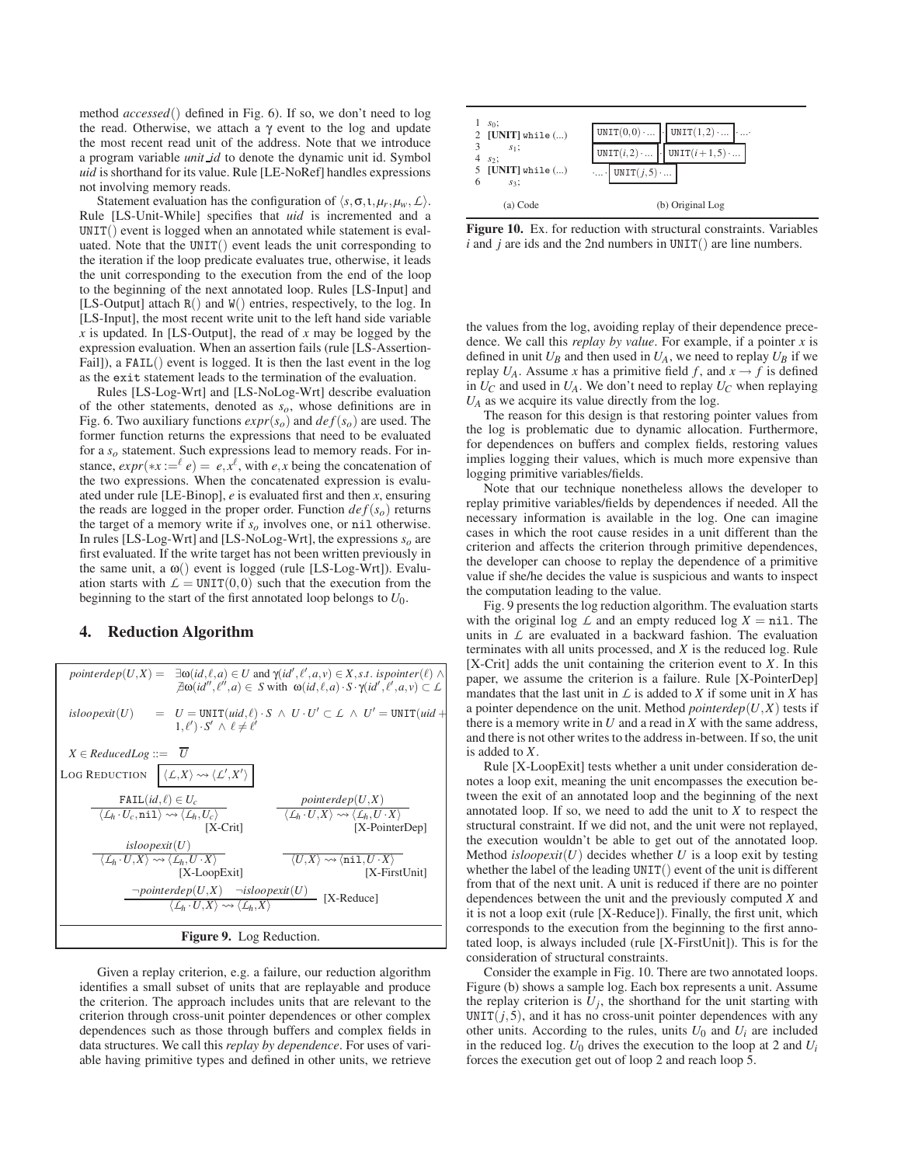method *accessed*() defined in Fig. 6). If so, we don't need to log the read. Otherwise, we attach a  $\gamma$  event to the log and update the most recent read unit of the address. Note that we introduce a program variable *unit id* to denote the dynamic unit id. Symbol *uid* is shorthand for its value. Rule [LE-NoRef] handles expressions not involving memory reads.

Statement evaluation has the configuration of  $\langle s, \sigma, 1, \mu_r, \mu_w, \mathcal{L} \rangle$ . Rule [LS-Unit-While] specifies that *uid* is incremented and a  $U\text{NIT}$ ) event is logged when an annotated while statement is evaluated. Note that the UNIT() event leads the unit corresponding to the iteration if the loop predicate evaluates true, otherwise, it leads the unit corresponding to the execution from the end of the loop to the beginning of the next annotated loop. Rules [LS-Input] and [LS-Output] attach R() and W() entries, respectively, to the log. In [LS-Input], the most recent write unit to the left hand side variable *x* is updated. In [LS-Output], the read of *x* may be logged by the expression evaluation. When an assertion fails (rule [LS-Assertion-Fail]), a FAIL() event is logged. It is then the last event in the log as the exit statement leads to the termination of the evaluation.

Rules [LS-Log-Wrt] and [LS-NoLog-Wrt] describe evaluation of the other statements, denoted as *so*, whose definitions are in Fig. 6. Two auxiliary functions  $expr(s_0)$  and  $def(s_0)$  are used. The former function returns the expressions that need to be evaluated for a  $s<sub>o</sub>$  statement. Such expressions lead to memory reads. For instance,  $expr(*x := e^e e) = e, x^e$ , with  $e, x$  being the concatenation of the two expressions. When the concatenated expression is evaluated under rule [LE-Binop], *e* is evaluated first and then *x*, ensuring the reads are logged in the proper order. Function  $def(s<sub>o</sub>)$  returns the target of a memory write if *so* involves one, or nil otherwise. In rules [LS-Log-Wrt] and [LS-NoLog-Wrt], the expressions  $s<sub>o</sub>$  are first evaluated. If the write target has not been written previously in the same unit, a  $\omega$ () event is logged (rule [LS-Log-Wrt]). Evaluation starts with  $L = \text{UNIT}(0,0)$  such that the execution from the beginning to the start of the first annotated loop belongs to *U*0.

# 4. Reduction Algorithm



Given a replay criterion, e.g. a failure, our reduction algorithm identifies a small subset of units that are replayable and produce the criterion. The approach includes units that are relevant to the criterion through cross-unit pointer dependences or other complex dependences such as those through buffers and complex fields in data structures. We call this *replay by dependence*. For uses of variable having primitive types and defined in other units, we retrieve

| $s_0$ ;<br>2 $[UNIT] while ()$<br>$S_1$ ;<br>$S_2$ :<br>[UNIT] $while$ ()<br>$S3$ : | UNIT $(0,0)$   UNIT $(1,2)$  <br>UNIT $(i,2)$<br>$\cdot$ UNIT $(i+1,5)$<br>$\cdots$ UNIT $(j, 5)$ |
|-------------------------------------------------------------------------------------|---------------------------------------------------------------------------------------------------|
| (a) Code                                                                            | (b) Original Log                                                                                  |

Figure 10. Ex. for reduction with structural constraints. Variables *i* and *j* are ids and the 2nd numbers in UNIT() are line numbers.

the values from the log, avoiding replay of their dependence precedence. We call this *replay by value*. For example, if a pointer *x* is defined in unit  $U_B$  and then used in  $U_A$ , we need to replay  $U_B$  if we replay  $U_A$ . Assume *x* has a primitive field *f*, and  $x \rightarrow f$  is defined in  $U_C$  and used in  $U_A$ . We don't need to replay  $U_C$  when replaying *UA* as we acquire its value directly from the log.

The reason for this design is that restoring pointer values from the log is problematic due to dynamic allocation. Furthermore, for dependences on buffers and complex fields, restoring values implies logging their values, which is much more expensive than logging primitive variables/fields.

Note that our technique nonetheless allows the developer to replay primitive variables/fields by dependences if needed. All the necessary information is available in the log. One can imagine cases in which the root cause resides in a unit different than the criterion and affects the criterion through primitive dependences, the developer can choose to replay the dependence of a primitive value if she/he decides the value is suspicious and wants to inspect the computation leading to the value.

Fig. 9 presents the log reduction algorithm. The evaluation starts with the original log  $\angle$  and an empty reduced log  $X = \text{nil}$ . The units in *L* are evaluated in a backward fashion. The evaluation terminates with all units processed, and *X* is the reduced log. Rule [X-Crit] adds the unit containing the criterion event to *X*. In this paper, we assume the criterion is a failure. Rule [X-PointerDep] mandates that the last unit in  $\mathcal L$  is added to  $X$  if some unit in  $X$  has a pointer dependence on the unit. Method *pointerdep* $(U, X)$  tests if there is a memory write in *U* and a read in *X* with the same address, and there is not other writes to the address in-between. If so, the unit is added to *X*.

Rule [X-LoopExit] tests whether a unit under consideration denotes a loop exit, meaning the unit encompasses the execution between the exit of an annotated loop and the beginning of the next annotated loop. If so, we need to add the unit to *X* to respect the structural constraint. If we did not, and the unit were not replayed, the execution wouldn't be able to get out of the annotated loop. Method *isloopexit*( $U$ ) decides whether  $U$  is a loop exit by testing whether the label of the leading  $UNIT()$  event of the unit is different from that of the next unit. A unit is reduced if there are no pointer dependences between the unit and the previously computed *X* and it is not a loop exit (rule [X-Reduce]). Finally, the first unit, which corresponds to the execution from the beginning to the first annotated loop, is always included (rule [X-FirstUnit]). This is for the consideration of structural constraints.

Consider the example in Fig. 10. There are two annotated loops. Figure (b) shows a sample log. Each box represents a unit. Assume the replay criterion is  $U_j$ , the shorthand for the unit starting with  $U\text{NIT}(j,5)$ , and it has no cross-unit pointer dependences with any other units. According to the rules, units  $U_0$  and  $U_i$  are included in the reduced log.  $U_0$  drives the execution to the loop at 2 and  $U_i$ forces the execution get out of loop 2 and reach loop 5.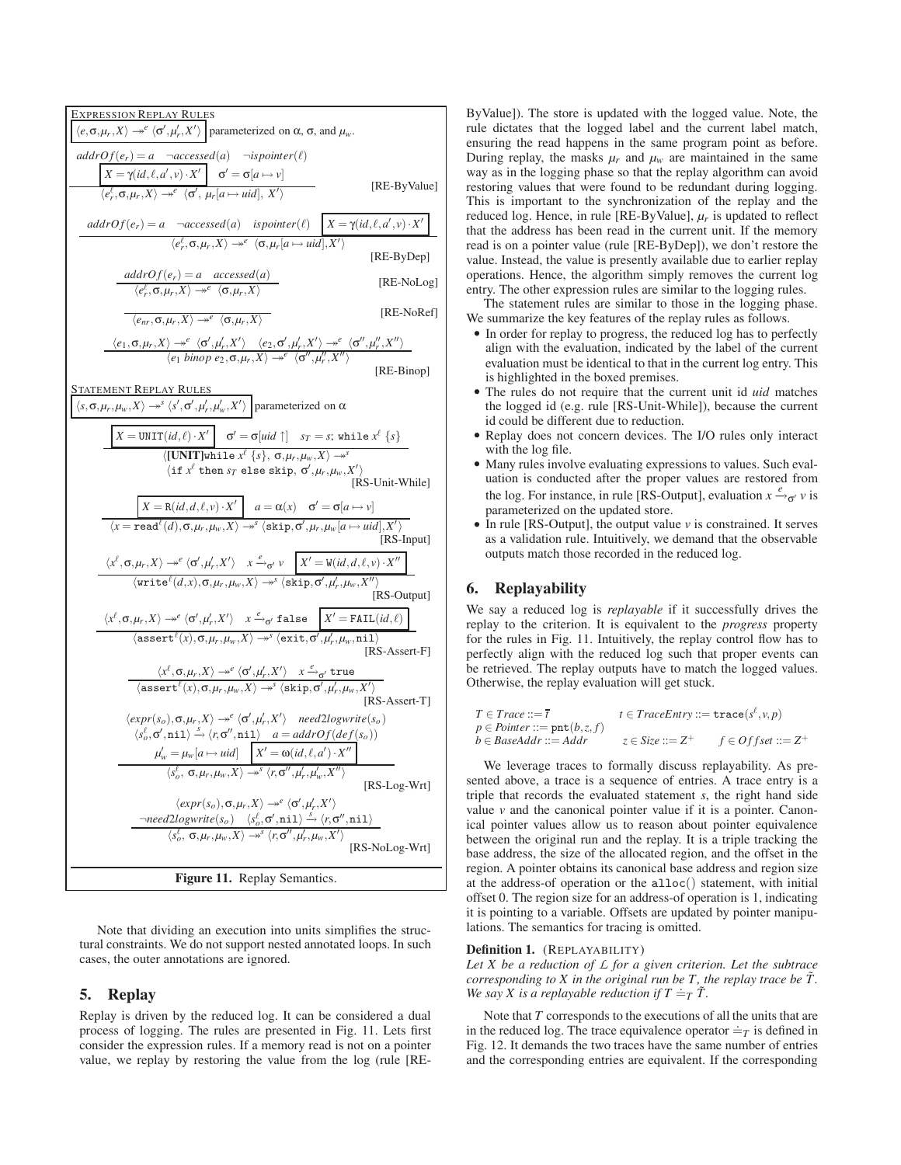EXPRESSION REPLAY RULES  $\langle e, \sigma, \mu_r, X \rangle \rightarrow^e \langle \sigma', \mu'_r, X' \rangle$  parameterized on  $\alpha$ ,  $\sigma$ , and  $\mu_w$ .  $addrOf(e_r) = a \quad \neg accessed(a) \quad \neg is pointer(\ell)$  $X = \gamma(id, \ell, a', v) \cdot X' \quad \sigma' = \sigma[a \mapsto v]$  $\langle e_r^{\ell}, \sigma, \mu_r, X \rangle \twoheadrightarrow^e \langle \sigma', \mu_r[a \mapsto uid], X'$ [RE-ByValue]  $\alpha$ *ddrOf*(*e<sub>r</sub>*) = *a*  $\alpha$  -*accessed*(*a*) *ispointer*( $\ell$ )  $X = \gamma(id, \ell, a', v) \cdot X'$  $\langle e_r^{\ell}, \sigma, \mu_r, X \rangle \rightarrow^e \langle \sigma, \mu_r[a \mapsto uid], X' \rangle$ [RE-ByDep]  $addrOf(e_r) = a \quad accessed(a)$  $\langle e_r^{\rho}, \sigma, \mu_r, X \rangle \rightarrow^e \langle \sigma, \mu_r, X \rangle$  [RE-NoLog]  $\langle e_{nr}, \sigma, \mu_r, X \rangle \rightarrow^e \langle \sigma, \mu_r, X \rangle$  [RE-NoRef]  $\langle e_1, \sigma, \mu_r, X \rangle \rightarrow^e \langle \sigma', \mu'_r, X' \rangle \quad \langle e_2, \sigma', \mu'_r, X' \rangle \rightarrow^e \langle \sigma'', \mu''_r, X'' \rangle$  $\langle e_1 \text{ binop } e_2, \sigma, \mu_r, X \rangle \rightarrow^e \langle \sigma'', \mu''_r, X'' \rangle$ [RE-Binop] STATEMENT REPLAY RULES  $\langle s, \sigma, \mu_r, \mu_w, X \rangle \rightarrow^{s} \langle s', \sigma', \mu'_r, \mu'_w, X' \rangle$  parameterized on  $\alpha$  $X = \texttt{UNIT}(id, \ell) \cdot X' \mid \sigma' = \sigma[uid \uparrow] \quad s_T = s; \text{ while } x^{\ell} \{s\}$  $\langle \text{[UNIT]while } x^{\ell} \{s\}, \sigma, \mu_r, \mu_w, X \rangle \twoheadrightarrow^{s}$  $\langle$  if  $x^{\ell}$  then  $s_T$  else skip,  $\sigma', \mu_r, \mu_w, X' \rangle$  [RS-Unit-While]  $X = \mathbb{R}(id, d, \ell, v) \cdot X' \mid a = \alpha(x) \quad \sigma' = \sigma[a \mapsto v]$  $\langle x=\texttt{read}^{\ell}(d),\sigma,\mu_{r},\mu_{w},X\rangle \twoheadrightarrow^{s}\langle \texttt{skip},\sigma',\mu_{r},\mu_{w}[a\mapsto uid],X'\rangle$ [RS-Input]  $\langle x^{\ell}, \sigma, \mu_r, X \rangle \rightarrow^e \langle \sigma', \mu'_r, X' \rangle$   $x \stackrel{e}{\rightarrow} \sigma' \nu$   $X' = W(id, d, \ell, \nu) \cdot X''$  $\langle \textsf{write}^{\ell}(d,x),\sigma,\mu_{r},\mu_{w},X\rangle \twoheadrightarrow^{s}\langle \textsf{skip},\sigma',\mu'_{r},\mu_{w},X''\rangle$ [RS-Output]  $\langle x^{\ell}, \sigma, \mu_r, X \rangle \rightarrow^e \langle \sigma', \mu_r', X' \rangle$   $x \xrightarrow{e}^{\sigma} \sigma'$  false  $X' = \text{FAIL}(id, \ell)$  $\langle \texttt{assert}^{\ell}(x), \sigma, \mu_r, \mu_w, X \rangle \rightarrow^s \langle \texttt{exit}, \sigma', \mu'_r, \mu_w, \texttt{nil} \rangle$ [RS-Assert-F]  $\langle x^{\ell}, \sigma, \mu_r, X \rangle \rightarrow^e \langle \sigma', \mu_r', X' \rangle$   $x \xrightarrow{e}^{\ } \sigma'$  true  $\langle \texttt{assert}^{\ell}(x), \sigma, \mu_r, \mu_w, X \rangle \rightarrow^s \langle \texttt{skip}, \sigma', \mu'_r, \mu_w, X' \rangle$  [RS-Assert-T]  $\langle expr(s_o), \sigma, \mu_r, X \rangle \rightarrow^e \langle \sigma', \mu_r', X' \rangle$  need 2*logwrite*(*s<sub>o</sub>*)  $\langle s_o^{\ell}, \sigma', \texttt{nil} \rangle \stackrel{s}{\rightarrow} \langle r, \sigma'', \texttt{nil} \rangle \quad a = addrof(\textit{def}(s_o))$  $\mu'_w = \mu_w[a \mapsto uid]$   $X' = \omega(id, \ell, a') \cdot X''$  $\langle s_o^{\ell}, \sigma, \mu_r, \mu_w, X \rangle \rightarrow^s \langle r, \sigma'', \mu'_r, \mu'_w, X'' \rangle$ [RS-Log-Wrt]  $\langle expr(s<sub>o</sub>), \sigma, \mu_r, X \rangle \rightarrow e \langle \sigma', \mu'_r, X' \rangle$  $\neg \textit{need2logwrite}(s_o) \quad \langle s_o^{\ell}, \sigma', \texttt{nil} \rangle \stackrel{s}{\rightarrow} \langle r, \sigma'', \texttt{nil} \rangle$  $\langle s_o^{\ell}, \sigma, \mu_r, \mu_w, X \rangle \rightarrow^s \langle r, \sigma'', \mu'_r, \mu_w, X' \rangle$ [RS-NoLog-Wrt] Figure 11. Replay Semantics.

Note that dividing an execution into units simplifies the structural constraints. We do not support nested annotated loops. In such cases, the outer annotations are ignored.

# 5. Replay

Replay is driven by the reduced log. It can be considered a dual process of logging. The rules are presented in Fig. 11. Lets first consider the expression rules. If a memory read is not on a pointer value, we replay by restoring the value from the log (rule [RE-

ByValue]). The store is updated with the logged value. Note, the rule dictates that the logged label and the current label match, ensuring the read happens in the same program point as before. During replay, the masks  $\mu_r$  and  $\mu_w$  are maintained in the same way as in the logging phase so that the replay algorithm can avoid restoring values that were found to be redundant during logging. This is important to the synchronization of the replay and the reduced log. Hence, in rule [RE-ByValue],  $\mu_r$  is updated to reflect that the address has been read in the current unit. If the memory read is on a pointer value (rule [RE-ByDep]), we don't restore the value. Instead, the value is presently available due to earlier replay operations. Hence, the algorithm simply removes the current log entry. The other expression rules are similar to the logging rules.

The statement rules are similar to those in the logging phase. We summarize the key features of the replay rules as follows.

- In order for replay to progress, the reduced log has to perfectly align with the evaluation, indicated by the label of the current evaluation must be identical to that in the current log entry. This is highlighted in the boxed premises.
- The rules do not require that the current unit id *uid* matches the logged id (e.g. rule [RS-Unit-While]), because the current id could be different due to reduction.
- Replay does not concern devices. The I/O rules only interact with the log file.
- Many rules involve evaluating expressions to values. Such evaluation is conducted after the proper values are restored from the log. For instance, in rule [RS-Output], evaluation  $x \xrightarrow{e} \sigma' v$  is parameterized on the updated store.
- In rule [RS-Output], the output value *v* is constrained. It serves as a validation rule. Intuitively, we demand that the observable outputs match those recorded in the reduced log.

# 6. Replayability

We say a reduced log is *replayable* if it successfully drives the replay to the criterion. It is equivalent to the *progress* property for the rules in Fig. 11. Intuitively, the replay control flow has to perfectly align with the reduced log such that proper events can be retrieved. The replay outputs have to match the logged values. Otherwise, the replay evaluation will get stuck.

| $T \in Trace ::= \overline{t}$  | $t \in TraceEntry ::= \text{trace}(s^{\ell}, v, p)$ |                               |
|---------------------------------|-----------------------------------------------------|-------------------------------|
| $p \in$ Pointer ::= pnt(b,z, f) |                                                     |                               |
| $b \in BaseAddr ::= Addr$       | $z \in Size ::= Z^+$                                | $f \in \text{Offset} ::= Z^+$ |

We leverage traces to formally discuss replayability. As presented above, a trace is a sequence of entries. A trace entry is a triple that records the evaluated statement *s*, the right hand side value  $\nu$  and the canonical pointer value if it is a pointer. Canonical pointer values allow us to reason about pointer equivalence between the original run and the replay. It is a triple tracking the base address, the size of the allocated region, and the offset in the region. A pointer obtains its canonical base address and region size at the address-of operation or the alloc() statement, with initial offset 0. The region size for an address-of operation is 1, indicating it is pointing to a variable. Offsets are updated by pointer manipulations. The semantics for tracing is omitted.

### Definition 1. (REPLAYABILITY)

*Let X be a reduction of L for a given criterion. Let the subtrace corresponding to X in the original run be T, the replay trace be*  $\tilde{T}$ *. We say X is a replayable reduction if*  $T = T$   $\tilde{T}$ .

Note that *T* corresponds to the executions of all the units that are Frote that *T* corresponds to the executions of all the times that are in the reduced log. The trace equivalence operator  $\dot{=}r$  is defined in Fig. 12. It demands the two traces have the same number of entries and the corresponding entries are equivalent. If the corresponding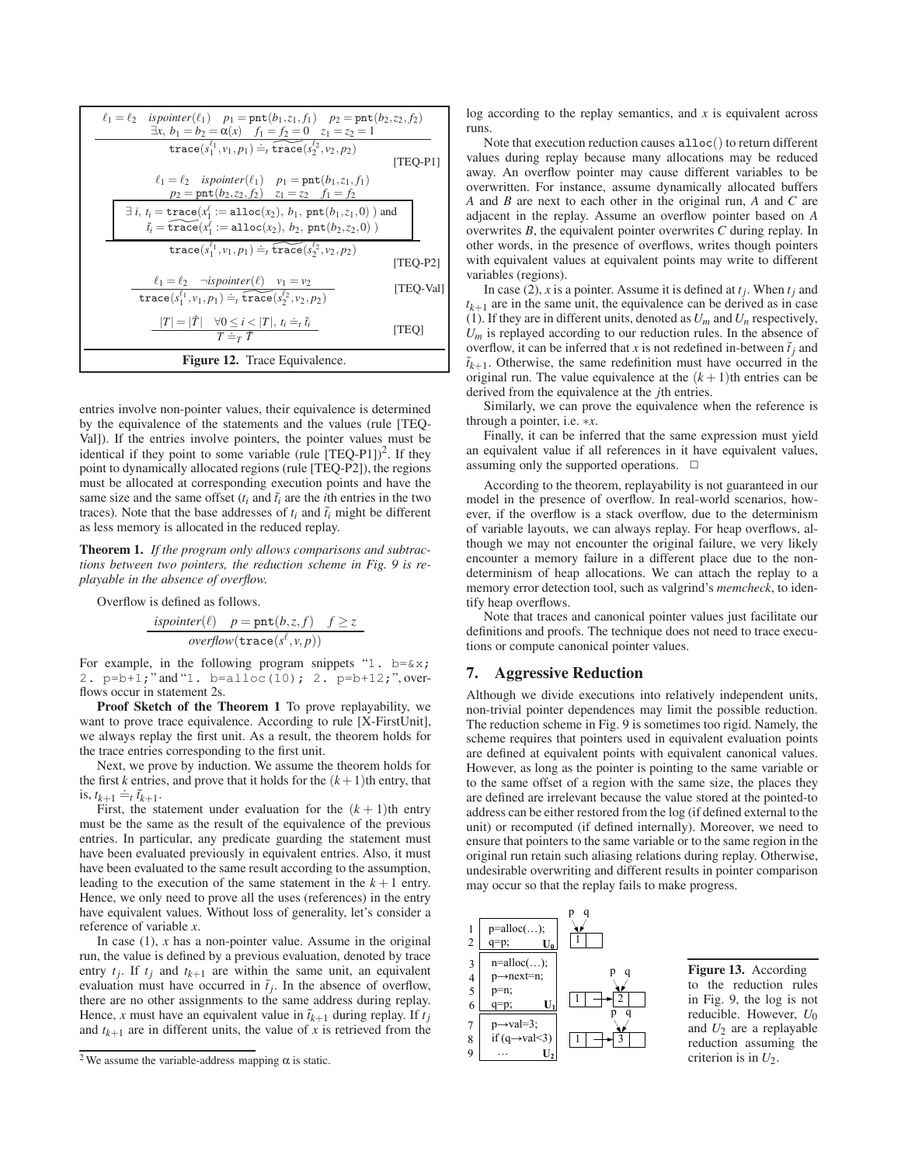| $\ell_1 = \ell_2$ is pointer $(\ell_1)$ $p_1 = \text{pnt}(b_1, z_1, f_1)$ $p_2 = \text{pnt}(b_2, z_2, f_2)$                                                                                                           |           |
|-----------------------------------------------------------------------------------------------------------------------------------------------------------------------------------------------------------------------|-----------|
| $\exists x, b_1 = b_2 = \alpha(x)$ $f_1 = f_2 = 0$ $z_1 = z_2 = 1$<br>trace $(s_1^{l_1}, v_1, p_1) =_t$ trace $(s_2^{l_2}, v_2, p_2)$                                                                                 | [TEO-P1]  |
| $\ell_1 = \ell_2$ is pointer $(\ell_1)$ $p_1 = \text{pnt}(b_1, z_1, f_1)$<br>$p_2 = \text{pnt}(b_2, z_2, f_2)$ $z_1 = z_2$ $f_1 = f_2$                                                                                |           |
| $\exists i, t_i = \texttt{trace}(x_1^{\ell}) := \texttt{alloc}(x_2), b_1, \texttt{prt}(b_1, z_1, 0)$ ) and<br>$\tilde{t}_i = \widetilde{\text{trace}}(x_1^{\ell}) := \text{alloc}(x_2), b_2, \text{prt}(b_2, z_2, 0)$ |           |
| trace( $s_1^{\ell_1}, v_1, p_1$ ) = $\widetilde{\text{trace}}(s_2^{\ell_2}, v_2, p_2)$                                                                                                                                | [TEQ-P2]  |
| $\ell_1 = \ell_2 \quad \neg is pointer(\ell) \quad v_1 = v_2$<br>$\text{trace}(s_1^{\ell_1}, v_1, p_1) \doteqdot_{t} \text{trace}(s_2^{\ell_2}, v_2, p_2)$                                                            | [TEO-Val] |
| $\frac{ T  =  \tilde{T}  \quad \forall 0 \leq i <  T , t_i \doteq_t \tilde{t}_i}{T \doteq_T \tilde{T}}$                                                                                                               | тео       |
| <b>Figure 12.</b> Trace Equivalence.                                                                                                                                                                                  |           |

entries involve non-pointer values, their equivalence is determined by the equivalence of the statements and the values (rule [TEQ-Val]). If the entries involve pointers, the pointer values must be identical if they point to some variable (rule  $[TEQ-P1]$ )<sup>2</sup>. If they point to dynamically allocated regions (rule [TEQ-P2]), the regions must be allocated at corresponding execution points and have the same size and the same offset  $(t_i$  and  $\tilde{t}_i$  are the *i*th entries in the two traces). Note that the base addresses of  $t_i$  and  $\tilde{t}_i$  might be different as less memory is allocated in the reduced replay.

Theorem 1. *If the program only allows comparisons and subtractions between two pointers, the reduction scheme in Fig. 9 is replayable in the absence of overflow.*

Overflow is defined as follows.

$$
\frac{is pointer(\ell)}{overflow(\text{trace}(s^{\ell}, v, p))} \quad f \ge z
$$
\n
$$
overflow(\text{trace}(s^{\ell}, v, p))
$$

For example, in the following program snippets "1.  $b = \&x$ 2. p=b+1;" and "1. b=alloc(10); 2. p=b+12;", overflows occur in statement 2s.

Proof Sketch of the Theorem 1 To prove replayability, we want to prove trace equivalence. According to rule [X-FirstUnit], we always replay the first unit. As a result, the theorem holds for the trace entries corresponding to the first unit.

Next, we prove by induction. We assume the theorem holds for the first *k* entries, and prove that it holds for the  $(k+1)$ th entry, that is,  $t_{k+1} \doteq_t \tilde{t}_{k+1}$ .

First, the statement under evaluation for the  $(k + 1)$ th entry must be the same as the result of the equivalence of the previous entries. In particular, any predicate guarding the statement must have been evaluated previously in equivalent entries. Also, it must have been evaluated to the same result according to the assumption, leading to the execution of the same statement in the  $k+1$  entry. Hence, we only need to prove all the uses (references) in the entry have equivalent values. Without loss of generality, let's consider a reference of variable *x*.

In case  $(1)$ , *x* has a non-pointer value. Assume in the original run, the value is defined by a previous evaluation, denoted by trace entry  $t_j$ . If  $t_j$  and  $t_{k+1}$  are within the same unit, an equivalent evaluation must have occurred in  $\tilde{t}_j$ . In the absence of overflow, there are no other assignments to the same address during replay. Hence, *x* must have an equivalent value in  $\tilde{t}_{k+1}$  during replay. If  $t_j$ and  $t_{k+1}$  are in different units, the value of *x* is retrieved from the log according to the replay semantics, and *x* is equivalent across runs.

Note that execution reduction causes alloc() to return different values during replay because many allocations may be reduced away. An overflow pointer may cause different variables to be overwritten. For instance, assume dynamically allocated buffers *A* and *B* are next to each other in the original run, *A* and *C* are adjacent in the replay. Assume an overflow pointer based on *A* overwrites *B*, the equivalent pointer overwrites *C* during replay. In other words, in the presence of overflows, writes though pointers with equivalent values at equivalent points may write to different variables (regions).

In case (2), *x* is a pointer. Assume it is defined at  $t_j$ . When  $t_j$  and  $t_{k+1}$  are in the same unit, the equivalence can be derived as in case (1). If they are in different units, denoted as  $U_m$  and  $U_n$  respectively,  $U_m$  is replayed according to our reduction rules. In the absence of overflow, it can be inferred that *x* is not redefined in-between  $\tilde{t}_j$  and  $\tilde{t}_{k+1}$ . Otherwise, the same redefinition must have occurred in the original run. The value equivalence at the  $(k+1)$ th entries can be derived from the equivalence at the *j*th entries.

Similarly, we can prove the equivalence when the reference is through a pointer, i.e. ∗*x*.

Finally, it can be inferred that the same expression must yield an equivalent value if all references in it have equivalent values, assuming only the supported operations.  $\Box$ 

According to the theorem, replayability is not guaranteed in our model in the presence of overflow. In real-world scenarios, however, if the overflow is a stack overflow, due to the determinism of variable layouts, we can always replay. For heap overflows, although we may not encounter the original failure, we very likely encounter a memory failure in a different place due to the nondeterminism of heap allocations. We can attach the replay to a memory error detection tool, such as valgrind's *memcheck*, to identify heap overflows.

Note that traces and canonical pointer values just facilitate our definitions and proofs. The technique does not need to trace executions or compute canonical pointer values.

## 7. Aggressive Reduction

Although we divide executions into relatively independent units, non-trivial pointer dependences may limit the possible reduction. The reduction scheme in Fig. 9 is sometimes too rigid. Namely, the scheme requires that pointers used in equivalent evaluation points are defined at equivalent points with equivalent canonical values. However, as long as the pointer is pointing to the same variable or to the same offset of a region with the same size, the places they are defined are irrelevant because the value stored at the pointed-to address can be either restored from the log (if defined external to the unit) or recomputed (if defined internally). Moreover, we need to ensure that pointers to the same variable or to the same region in the original run retain such aliasing relations during replay. Otherwise, undesirable overwriting and different results in pointer comparison may occur so that the replay fails to make progress.



Figure 13. According to the reduction rules in Fig. 9, the log is not reducible. However,  $U_0$ and  $U_2$  are a replayable reduction assuming the criterion is in *U*2.

<sup>&</sup>lt;sup>2</sup> We assume the variable-address mapping  $\alpha$  is static.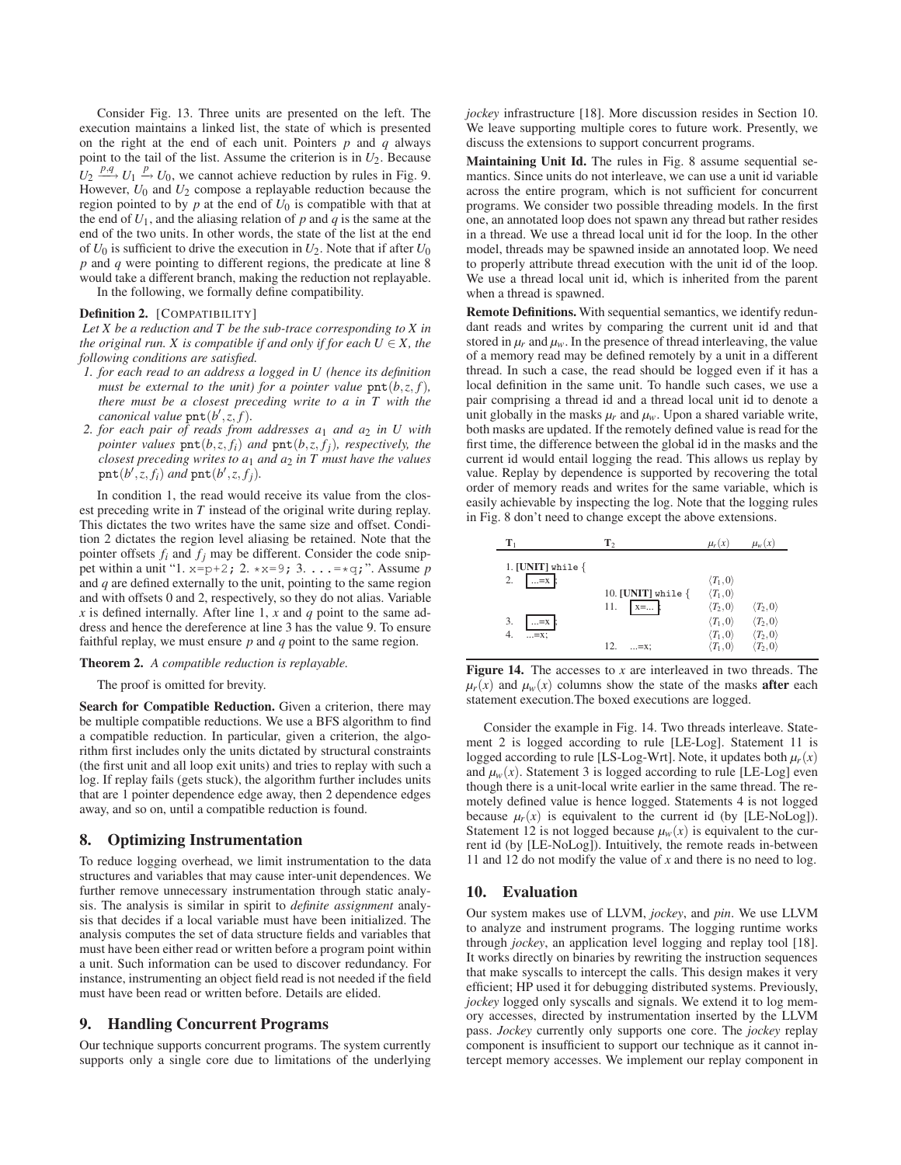Consider Fig. 13. Three units are presented on the left. The execution maintains a linked list, the state of which is presented on the right at the end of each unit. Pointers *p* and *q* always point to the tail of the list. Assume the criterion is in  $U_2$ . Because  $U_2 \xrightarrow{p,q} U_1 \xrightarrow{p} U_0$ , we cannot achieve reduction by rules in Fig. 9. However,  $U_0$  and  $U_2$  compose a replayable reduction because the region pointed to by  $p$  at the end of  $U_0$  is compatible with that at the end of  $U_1$ , and the aliasing relation of  $p$  and  $q$  is the same at the end of the two units. In other words, the state of the list at the end of  $U_0$  is sufficient to drive the execution in  $U_2$ . Note that if after  $U_0$ *p* and *q* were pointing to different regions, the predicate at line 8 would take a different branch, making the reduction not replayable. In the following, we formally define compatibility.

#### Definition 2. [COMPATIBILITY]

*Let X be a reduction and T be the sub-trace corresponding to X in the original run. X is compatible if and only if for each*  $U \in X$ *, the following conditions are satisfied.*

- *1. for each read to an address a logged in U (hence its definition must be external to the unit) for a pointer value*  $\text{pnt}(b, z, f)$ *, there must be a closest preceding write to a in T with the canonical value*  $\text{pnt}(b', z, f)$ *.*
- *2. for each pair of reads from addresses a*<sup>1</sup> *and a*<sup>2</sup> *in U with pointer values*  $\text{pnt}(b, z, f_i)$  *and*  $\text{pnt}(b, z, f_j)$ *, respectively, the closest preceding writes to a*<sup>1</sup> *and a*<sup>2</sup> *in T must have the values*  $\text{pnt}(b', z, f_i)$  *and*  $\text{pnt}(b', z, f_j)$ *.*

In condition 1, the read would receive its value from the closest preceding write in *T* instead of the original write during replay. This dictates the two writes have the same size and offset. Condition 2 dictates the region level aliasing be retained. Note that the pointer offsets  $f_i$  and  $f_j$  may be different. Consider the code snippet within a unit "1.  $x = p + 2$ ; 2.  $*x = 9$ ; 3. . . . =  $*q$ ; ". Assume *p* and *q* are defined externally to the unit, pointing to the same region and with offsets 0 and 2, respectively, so they do not alias. Variable  $x$  is defined internally. After line 1,  $x$  and  $q$  point to the same address and hence the dereference at line 3 has the value 9. To ensure faithful replay, we must ensure *p* and *q* point to the same region.

#### Theorem 2. *A compatible reduction is replayable.*

The proof is omitted for brevity.

Search for Compatible Reduction. Given a criterion, there may be multiple compatible reductions. We use a BFS algorithm to find a compatible reduction. In particular, given a criterion, the algorithm first includes only the units dictated by structural constraints (the first unit and all loop exit units) and tries to replay with such a log. If replay fails (gets stuck), the algorithm further includes units that are 1 pointer dependence edge away, then 2 dependence edges away, and so on, until a compatible reduction is found.

## 8. Optimizing Instrumentation

To reduce logging overhead, we limit instrumentation to the data structures and variables that may cause inter-unit dependences. We further remove unnecessary instrumentation through static analysis. The analysis is similar in spirit to *definite assignment* analysis that decides if a local variable must have been initialized. The analysis computes the set of data structure fields and variables that must have been either read or written before a program point within a unit. Such information can be used to discover redundancy. For instance, instrumenting an object field read is not needed if the field must have been read or written before. Details are elided.

### 9. Handling Concurrent Programs

Our technique supports concurrent programs. The system currently supports only a single core due to limitations of the underlying *jockey* infrastructure [18]. More discussion resides in Section 10. We leave supporting multiple cores to future work. Presently, we discuss the extensions to support concurrent programs.

Maintaining Unit Id. The rules in Fig. 8 assume sequential semantics. Since units do not interleave, we can use a unit id variable across the entire program, which is not sufficient for concurrent programs. We consider two possible threading models. In the first one, an annotated loop does not spawn any thread but rather resides in a thread. We use a thread local unit id for the loop. In the other model, threads may be spawned inside an annotated loop. We need to properly attribute thread execution with the unit id of the loop. We use a thread local unit id, which is inherited from the parent when a thread is spawned.

Remote Definitions. With sequential semantics, we identify redundant reads and writes by comparing the current unit id and that stored in  $\mu_r$  and  $\mu_w$ . In the presence of thread interleaving, the value of a memory read may be defined remotely by a unit in a different thread. In such a case, the read should be logged even if it has a local definition in the same unit. To handle such cases, we use a pair comprising a thread id and a thread local unit id to denote a unit globally in the masks  $\mu_r$  and  $\mu_w$ . Upon a shared variable write, both masks are updated. If the remotely defined value is read for the first time, the difference between the global id in the masks and the current id would entail logging the read. This allows us replay by value. Replay by dependence is supported by recovering the total order of memory reads and writes for the same variable, which is easily achievable by inspecting the log. Note that the logging rules in Fig. 8 don't need to change except the above extensions.



Figure 14. The accesses to *x* are interleaved in two threads. The  $\mu_r(x)$  and  $\mu_w(x)$  columns show the state of the masks **after** each statement execution.The boxed executions are logged.

Consider the example in Fig. 14. Two threads interleave. Statement 2 is logged according to rule [LE-Log]. Statement 11 is logged according to rule [LS-Log-Wrt]. Note, it updates both  $\mu_r(x)$ and  $\mu_w(x)$ . Statement 3 is logged according to rule [LE-Log] even though there is a unit-local write earlier in the same thread. The remotely defined value is hence logged. Statements 4 is not logged because  $\mu_r(x)$  is equivalent to the current id (by [LE-NoLog]). Statement 12 is not logged because  $\mu_w(x)$  is equivalent to the current id (by [LE-NoLog]). Intuitively, the remote reads in-between 11 and 12 do not modify the value of *x* and there is no need to log.

### 10. Evaluation

Our system makes use of LLVM, *jockey*, and *pin*. We use LLVM to analyze and instrument programs. The logging runtime works through *jockey*, an application level logging and replay tool [18]. It works directly on binaries by rewriting the instruction sequences that make syscalls to intercept the calls. This design makes it very efficient; HP used it for debugging distributed systems. Previously, *jockey* logged only syscalls and signals. We extend it to log memory accesses, directed by instrumentation inserted by the LLVM pass. *Jockey* currently only supports one core. The *jockey* replay component is insufficient to support our technique as it cannot intercept memory accesses. We implement our replay component in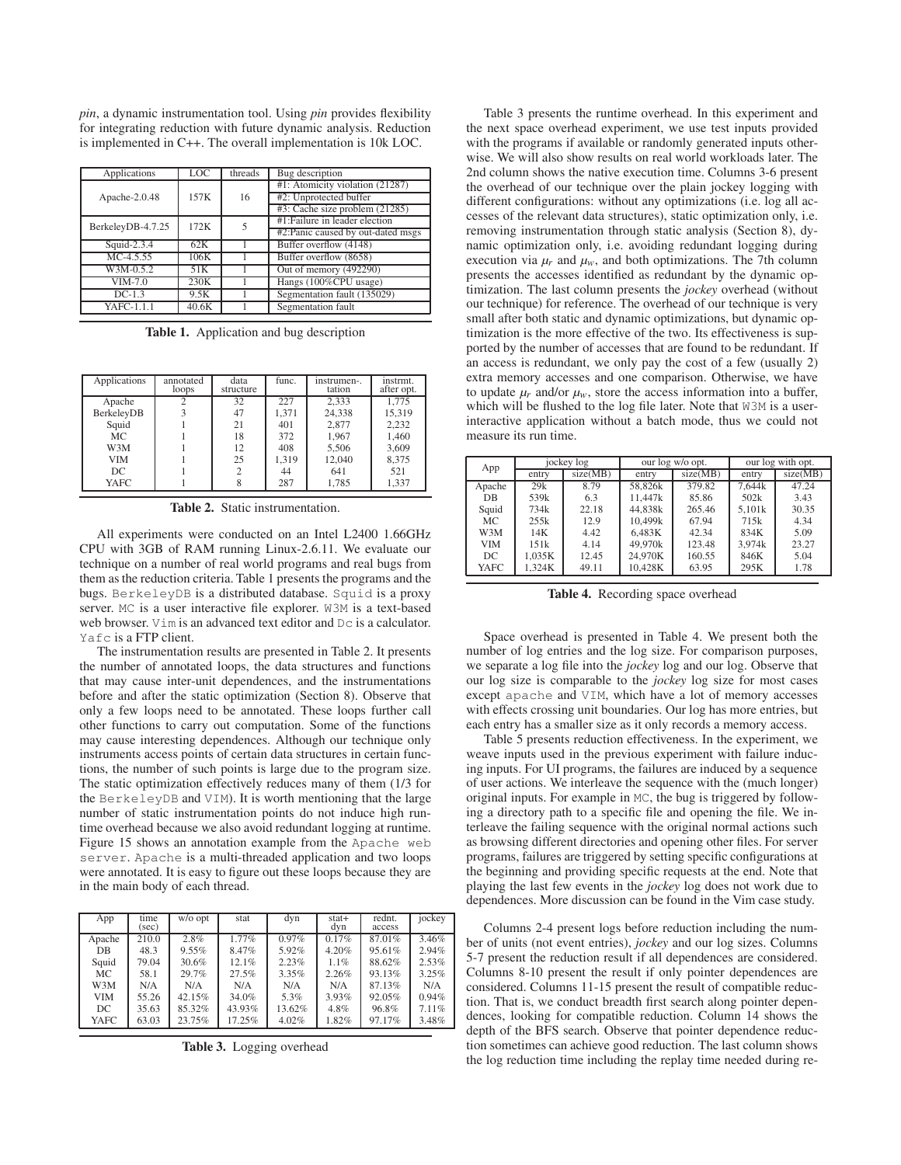*pin*, a dynamic instrumentation tool. Using *pin* provides flexibility for integrating reduction with future dynamic analysis. Reduction is implemented in C++. The overall implementation is 10k LOC.

| Applications      | <b>LOC</b> | threads | Bug description                   |  |
|-------------------|------------|---------|-----------------------------------|--|
|                   | 157K       | 16      | #1: Atomicity violation (21287)   |  |
| Apache-2.0.48     |            |         | #2: Unprotected buffer            |  |
|                   |            |         | $#3$ : Cache size problem (21285) |  |
| BerkeleyDB-4.7.25 | 172K       |         | #1: Failure in leader election    |  |
|                   |            |         | #2:Panic caused by out-dated msgs |  |
| Squid-2.3.4       | 62K        |         | Buffer overflow (4148)            |  |
| $MC-4.5.55$       | 106K       |         | Buffer overflow (8658)            |  |
| $W3M-0.5.2$       | 51K        |         | Out of memory (492290)            |  |
| $VIM-7.0$         | 230K       |         | Hangs (100%CPU usage)             |  |
| $DC-1.3$          | 9.5K       |         | Segmentation fault (135029)       |  |
| YAFC-1.1.1        | 40.6K      |         | Segmentation fault                |  |

Table 1. Application and bug description

| Applications | annotated<br>loops | data<br>structure | func. | instrumen-.<br>tation | instrmt.<br>after opt. |
|--------------|--------------------|-------------------|-------|-----------------------|------------------------|
|              |                    |                   |       |                       |                        |
| Apache       |                    | 32                | 227   | 2.333                 | 1.775                  |
| BerkeleyDB   | 3                  | 47                | 1.371 | 24,338                | 15,319                 |
| Squid        |                    | 21                | 401   | 2,877                 | 2.232                  |
| МC           |                    | 18                | 372   | 1.967                 | 1,460                  |
| W3M          |                    | 12                | 408   | 5,506                 | 3,609                  |
| <b>VIM</b>   |                    | 25                | 1,319 | 12,040                | 8,375                  |
| DC.          |                    | $\overline{c}$    | 44    | 641                   | 521                    |
| YAFC         |                    | 8                 | 287   | 1.785                 | 1.337                  |

Table 2. Static instrumentation.

All experiments were conducted on an Intel L2400 1.66GHz CPU with 3GB of RAM running Linux-2.6.11. We evaluate our technique on a number of real world programs and real bugs from them as the reduction criteria. Table 1 presents the programs and the bugs. BerkeleyDB is a distributed database. Squid is a proxy server. MC is a user interactive file explorer. W3M is a text-based web browser. Vim is an advanced text editor and  $Dc$  is a calculator. Yafc is a FTP client.

The instrumentation results are presented in Table 2. It presents the number of annotated loops, the data structures and functions that may cause inter-unit dependences, and the instrumentations before and after the static optimization (Section 8). Observe that only a few loops need to be annotated. These loops further call other functions to carry out computation. Some of the functions may cause interesting dependences. Although our technique only instruments access points of certain data structures in certain functions, the number of such points is large due to the program size. The static optimization effectively reduces many of them (1/3 for the BerkeleyDB and VIM). It is worth mentioning that the large number of static instrumentation points do not induce high runtime overhead because we also avoid redundant logging at runtime. Figure 15 shows an annotation example from the Apache web server. Apache is a multi-threaded application and two loops were annotated. It is easy to figure out these loops because they are in the main body of each thread.

| App         | time<br>$(\sec)$ | $w/o$ opt | stat     | dyn    | stat+<br>dyn | rednt.<br>access | jockey   |
|-------------|------------------|-----------|----------|--------|--------------|------------------|----------|
| Apache      | 210.0            | 2.8%      | $1.77\%$ | 0.97%  | 0.17%        | 87.01%           | $3.46\%$ |
| DB.         | 48.3             | 9.55%     | 8.47%    | 5.92%  | 4.20%        | 95.61%           | 2.94%    |
| Squid       | 79.04            | 30.6%     | 12.1%    | 2.23%  | $1.1\%$      | 88.62%           | 2.53%    |
| МC          | 58.1             | 29.7%     | 27.5%    | 3.35%  | 2.26%        | 93.13%           | 3.25%    |
| W3M         | N/A              | N/A       | N/A      | N/A    | N/A          | 87.13%           | N/A      |
| <b>VIM</b>  | 55.26            | 42.15%    | 34.0%    | 5.3%   | 3.93%        | 92.05%           | 0.94%    |
| DC          | 35.63            | 85.32%    | 43.93%   | 13.62% | $4.8\%$      | 96.8%            | 7.11%    |
| <b>YAFC</b> | 63.03            | 23.75%    | 17.25%   | 4.02%  | 1.82%        | 97.17%           | 3.48%    |

Table 3. Logging overhead

Table 3 presents the runtime overhead. In this experiment and the next space overhead experiment, we use test inputs provided with the programs if available or randomly generated inputs otherwise. We will also show results on real world workloads later. The 2nd column shows the native execution time. Columns 3-6 present the overhead of our technique over the plain jockey logging with different configurations: without any optimizations (i.e. log all accesses of the relevant data structures), static optimization only, i.e. removing instrumentation through static analysis (Section 8), dynamic optimization only, i.e. avoiding redundant logging during execution via  $\mu_r$  and  $\mu_w$ , and both optimizations. The 7th column presents the accesses identified as redundant by the dynamic optimization. The last column presents the *jockey* overhead (without our technique) for reference. The overhead of our technique is very small after both static and dynamic optimizations, but dynamic optimization is the more effective of the two. Its effectiveness is supported by the number of accesses that are found to be redundant. If an access is redundant, we only pay the cost of a few (usually 2) extra memory accesses and one comparison. Otherwise, we have to update  $\mu_r$  and/or  $\mu_w$ , store the access information into a buffer, which will be flushed to the log file later. Note that W3M is a userinteractive application without a batch mode, thus we could not measure its run time.

| App         |                  | jockey log |         | our log w/o opt. | our log with opt.  |          |  |  |
|-------------|------------------|------------|---------|------------------|--------------------|----------|--|--|
|             | entry            | size(MB)   | entry   | size(MB)         | entry              | size(MB) |  |  |
| Apache      | 29k              | 8.79       | 58.826k | 379.82           | 7.644k             | 47.24    |  |  |
| <b>DB</b>   | 539 <sub>k</sub> | 6.3        | 11.447k | 85.86            | 502k               | 3.43     |  |  |
| Squid       | 734k             | 22.18      | 44.838k | 265.46           | 5.101 <sub>k</sub> | 30.35    |  |  |
| МC          | 255k             | 12.9       | 10.499k | 67.94            | 71.5k              | 4.34     |  |  |
| W3M         | 14K              | 4.42       | 6.483K  | 42.34            | 834K               | 5.09     |  |  |
| <b>VIM</b>  | 151k             | 4.14       | 49.970k | 123.48           | 3.974k             | 23.27    |  |  |
| DC          | 1.035K           | 12.45      | 24.970K | 160.55           | 846K               | 5.04     |  |  |
| <b>YAFC</b> | 1.324K           | 49.11      | 10.428K | 63.95            | 295K               | 1.78     |  |  |

Table 4. Recording space overhead

Space overhead is presented in Table 4. We present both the number of log entries and the log size. For comparison purposes, we separate a log file into the *jockey* log and our log. Observe that our log size is comparable to the *jockey* log size for most cases except apache and VIM, which have a lot of memory accesses with effects crossing unit boundaries. Our log has more entries, but each entry has a smaller size as it only records a memory access.

Table 5 presents reduction effectiveness. In the experiment, we weave inputs used in the previous experiment with failure inducing inputs. For UI programs, the failures are induced by a sequence of user actions. We interleave the sequence with the (much longer) original inputs. For example in MC, the bug is triggered by following a directory path to a specific file and opening the file. We interleave the failing sequence with the original normal actions such as browsing different directories and opening other files. For server programs, failures are triggered by setting specific configurations at the beginning and providing specific requests at the end. Note that playing the last few events in the *jockey* log does not work due to dependences. More discussion can be found in the Vim case study.

Columns 2-4 present logs before reduction including the number of units (not event entries), *jockey* and our log sizes. Columns 5-7 present the reduction result if all dependences are considered. Columns 8-10 present the result if only pointer dependences are considered. Columns 11-15 present the result of compatible reduction. That is, we conduct breadth first search along pointer dependences, looking for compatible reduction. Column 14 shows the depth of the BFS search. Observe that pointer dependence reduction sometimes can achieve good reduction. The last column shows the log reduction time including the replay time needed during re-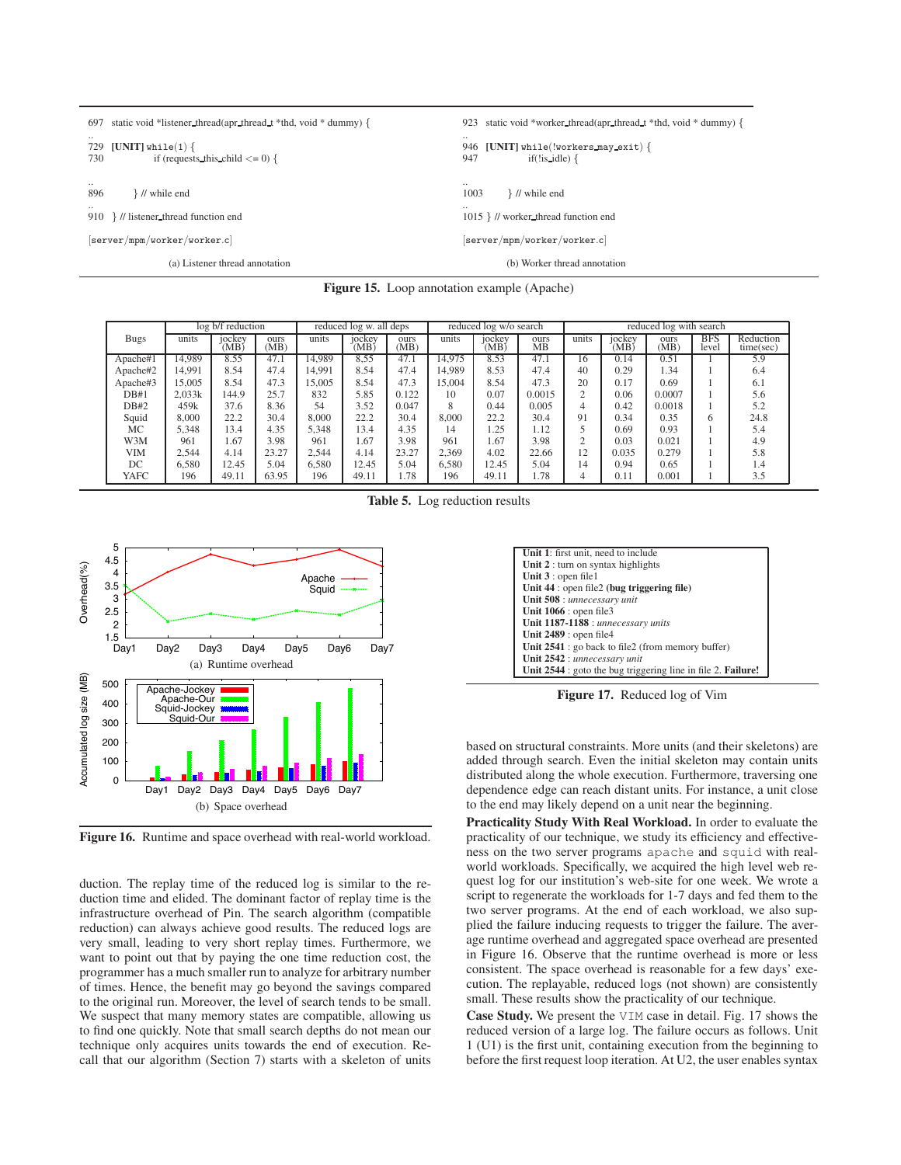| static void *listener_thread(apr_thread_t *thd, void * dummy) {<br>697          | 923 static void *worker_thread(apr_thread_t *thd, void * dummy) {     |  |  |  |  |  |
|---------------------------------------------------------------------------------|-----------------------------------------------------------------------|--|--|--|--|--|
| <br>[UNIT] while(1) $\{$<br>729<br>if (requests this child $\leq$ = 0) {<br>730 | <br>946 [UNIT] while(!workers_may_exit) {<br>947<br>if(!is_idle) $\{$ |  |  |  |  |  |
| $\cdots$<br>896<br>While end                                                    | <br>1003<br>$\}$ // while end<br>                                     |  |  |  |  |  |
| <br>V listener thread function end<br>910                                       | 1015 } // worker_thread function end                                  |  |  |  |  |  |
| server/mpm/worker/worker.c                                                      | [server/mpm/worker/worker.c]                                          |  |  |  |  |  |
| (a) Listener thread annotation                                                  | (b) Worker thread annotation                                          |  |  |  |  |  |

Figure 15. Loop annotation example (Apache)

|             | log b/f reduction |                | reduced log w. all deps |        | reduced log w/o search |              |        | reduced log with search |            |        |                |              |                     |                        |
|-------------|-------------------|----------------|-------------------------|--------|------------------------|--------------|--------|-------------------------|------------|--------|----------------|--------------|---------------------|------------------------|
| <b>Bugs</b> | units             | jockey<br>(MB) | ours<br>(MB)            | units  | jockey<br>(MB)         | ours<br>(MB) | units  | jockey<br>(MB)          | ours<br>MB | units  | jockey<br>(MB) | ours<br>(MB) | <b>BFS</b><br>level | Reduction<br>time/sec) |
| Apache#1    | 14.989            | 8.55           | 47.1                    | 14.989 | 8.55                   | 47.1         | 14.975 | 8.53                    | 47.1       | 16     | 0.14           | 0.51         |                     | 5.9                    |
| Apache#2    | 14.991            | 8.54           | 47.4                    | 14.991 | 8.54                   | 47.4         | 14.989 | 8.53                    | 47.4       | 40     | 0.29           | 1.34         |                     | 6.4                    |
| Apache#3    | 15,005            | 8.54           | 47.3                    | 5.005  | 8.54                   | 47.3         | 15,004 | 8.54                    | 47.3       | 20     | 0.17           | 0.69         |                     | 6.1                    |
| DB#1        | 2.033k            | 144.9          | 25.7                    | 832    | 5.85                   | 0.122        | 10     | 0.07                    | 0.0015     | $\sim$ | 0.06           | 0.0007       |                     | 5.6                    |
| DB#2        | 459k              | 37.6           | 8.36                    | 54     | 3.52                   | 0.047        | 8      | 0.44                    | 0.005      | 4      | 0.42           | 0.0018       |                     | 5.2                    |
| Squid       | 8,000             | 22.2           | 30.4                    | 8,000  | 22.2                   | 30.4         | 8,000  | 22.2                    | 30.4       | 91     | 0.34           | 0.35         | 6                   | 24.8                   |
| МC          | 5.348             | 13.4           | 4.35                    | 5.348  | 13.4                   | 4.35         | 14     | 1.25                    | 1.12       |        | 0.69           | 0.93         |                     | 5.4                    |
| W3M         | 961               | 1.67           | 3.98                    | 961    | 1.67                   | 3.98         | 961    | 1.67                    | 3.98       |        | 0.03           | 0.021        |                     | 4.9                    |
| VIM         | 2.544             | 4.14           | 23.27                   | 2.544  | 4.14                   | 23.27        | 2.369  | 4.02                    | 22.66      |        | 0.035          | 0.279        |                     | 5.8                    |
| DC          | 6.580             | 12.45          | 5.04                    | 6.580  | 2.45                   | 5.04         | 6.580  | 12.45                   | 5.04       | 14     | 0.94           | 0.65         |                     | 1.4                    |
| <b>YAFC</b> | 196               | 49.11          | 63.95                   | 196    | 49.11                  | 1.78         | 196    | 49.11                   | .78        |        | 0.11           | 0.001        |                     | 3.5                    |





Figure 16. Runtime and space overhead with real-world workload.

duction. The replay time of the reduced log is similar to the reduction time and elided. The dominant factor of replay time is the infrastructure overhead of Pin. The search algorithm (compatible reduction) can always achieve good results. The reduced logs are very small, leading to very short replay times. Furthermore, we want to point out that by paying the one time reduction cost, the programmer has a much smaller run to analyze for arbitrary number of times. Hence, the benefit may go beyond the savings compared to the original run. Moreover, the level of search tends to be small. We suspect that many memory states are compatible, allowing us to find one quickly. Note that small search depths do not mean our technique only acquires units towards the end of execution. Recall that our algorithm (Section 7) starts with a skeleton of units

| Unit 1: first unit, need to include                          |
|--------------------------------------------------------------|
| Unit $2:$ turn on syntax highlights                          |
| Unit $3:$ open file 1                                        |
| Unit 44 : open file2 (bug triggering file)                   |
| Unit 508 : unnecessary unit                                  |
| Unit $1066$ : open file3                                     |
| Unit 1187-1188 : unnecessary units                           |
| Unit 2489 : open file4                                       |
| Unit $2541$ : go back to file 2 (from memory buffer)         |
| Unit 2542 : unnecessary unit                                 |
| Unit 2544 : goto the bug triggering line in file 2. Failure! |

Figure 17. Reduced log of Vim

based on structural constraints. More units (and their skeletons) are added through search. Even the initial skeleton may contain units distributed along the whole execution. Furthermore, traversing one dependence edge can reach distant units. For instance, a unit close to the end may likely depend on a unit near the beginning.

Practicality Study With Real Workload. In order to evaluate the practicality of our technique, we study its efficiency and effectiveness on the two server programs apache and squid with realworld workloads. Specifically, we acquired the high level web request log for our institution's web-site for one week. We wrote a script to regenerate the workloads for 1-7 days and fed them to the two server programs. At the end of each workload, we also supplied the failure inducing requests to trigger the failure. The average runtime overhead and aggregated space overhead are presented in Figure 16. Observe that the runtime overhead is more or less consistent. The space overhead is reasonable for a few days' execution. The replayable, reduced logs (not shown) are consistently small. These results show the practicality of our technique.

Case Study. We present the VIM case in detail. Fig. 17 shows the reduced version of a large log. The failure occurs as follows. Unit 1 (U1) is the first unit, containing execution from the beginning to before the first request loop iteration. At U2, the user enables syntax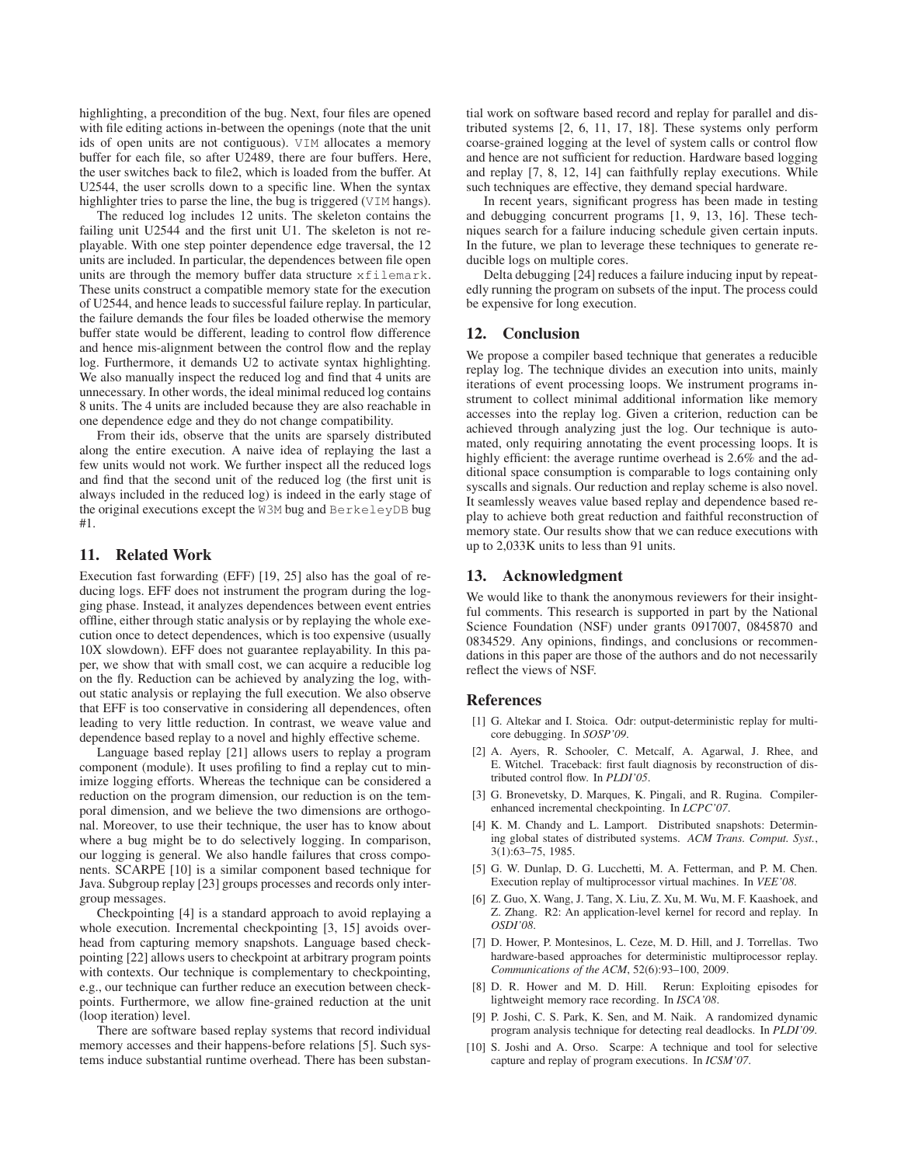highlighting, a precondition of the bug. Next, four files are opened with file editing actions in-between the openings (note that the unit ids of open units are not contiguous). VIM allocates a memory buffer for each file, so after U2489, there are four buffers. Here, the user switches back to file2, which is loaded from the buffer. At U2544, the user scrolls down to a specific line. When the syntax highlighter tries to parse the line, the bug is triggered (VIM hangs).

The reduced log includes 12 units. The skeleton contains the failing unit U2544 and the first unit U1. The skeleton is not replayable. With one step pointer dependence edge traversal, the 12 units are included. In particular, the dependences between file open units are through the memory buffer data structure xfilemark. These units construct a compatible memory state for the execution of U2544, and hence leads to successful failure replay. In particular, the failure demands the four files be loaded otherwise the memory buffer state would be different, leading to control flow difference and hence mis-alignment between the control flow and the replay log. Furthermore, it demands U2 to activate syntax highlighting. We also manually inspect the reduced log and find that 4 units are unnecessary. In other words, the ideal minimal reduced log contains 8 units. The 4 units are included because they are also reachable in one dependence edge and they do not change compatibility.

From their ids, observe that the units are sparsely distributed along the entire execution. A naive idea of replaying the last a few units would not work. We further inspect all the reduced logs and find that the second unit of the reduced log (the first unit is always included in the reduced log) is indeed in the early stage of the original executions except the W3M bug and BerkeleyDB bug #1.

## 11. Related Work

Execution fast forwarding (EFF) [19, 25] also has the goal of reducing logs. EFF does not instrument the program during the logging phase. Instead, it analyzes dependences between event entries offline, either through static analysis or by replaying the whole execution once to detect dependences, which is too expensive (usually 10X slowdown). EFF does not guarantee replayability. In this paper, we show that with small cost, we can acquire a reducible log on the fly. Reduction can be achieved by analyzing the log, without static analysis or replaying the full execution. We also observe that EFF is too conservative in considering all dependences, often leading to very little reduction. In contrast, we weave value and dependence based replay to a novel and highly effective scheme.

Language based replay [21] allows users to replay a program component (module). It uses profiling to find a replay cut to minimize logging efforts. Whereas the technique can be considered a reduction on the program dimension, our reduction is on the temporal dimension, and we believe the two dimensions are orthogonal. Moreover, to use their technique, the user has to know about where a bug might be to do selectively logging. In comparison, our logging is general. We also handle failures that cross components. SCARPE [10] is a similar component based technique for Java. Subgroup replay [23] groups processes and records only intergroup messages.

Checkpointing [4] is a standard approach to avoid replaying a whole execution. Incremental checkpointing [3, 15] avoids overhead from capturing memory snapshots. Language based checkpointing [22] allows users to checkpoint at arbitrary program points with contexts. Our technique is complementary to checkpointing, e.g., our technique can further reduce an execution between checkpoints. Furthermore, we allow fine-grained reduction at the unit (loop iteration) level.

There are software based replay systems that record individual memory accesses and their happens-before relations [5]. Such systems induce substantial runtime overhead. There has been substantial work on software based record and replay for parallel and distributed systems [2, 6, 11, 17, 18]. These systems only perform coarse-grained logging at the level of system calls or control flow and hence are not sufficient for reduction. Hardware based logging and replay [7, 8, 12, 14] can faithfully replay executions. While such techniques are effective, they demand special hardware.

In recent years, significant progress has been made in testing and debugging concurrent programs [1, 9, 13, 16]. These techniques search for a failure inducing schedule given certain inputs. In the future, we plan to leverage these techniques to generate reducible logs on multiple cores.

Delta debugging [24] reduces a failure inducing input by repeatedly running the program on subsets of the input. The process could be expensive for long execution.

## 12. Conclusion

We propose a compiler based technique that generates a reducible replay log. The technique divides an execution into units, mainly iterations of event processing loops. We instrument programs instrument to collect minimal additional information like memory accesses into the replay log. Given a criterion, reduction can be achieved through analyzing just the log. Our technique is automated, only requiring annotating the event processing loops. It is highly efficient: the average runtime overhead is 2.6% and the additional space consumption is comparable to logs containing only syscalls and signals. Our reduction and replay scheme is also novel. It seamlessly weaves value based replay and dependence based replay to achieve both great reduction and faithful reconstruction of memory state. Our results show that we can reduce executions with up to 2,033K units to less than 91 units.

## 13. Acknowledgment

We would like to thank the anonymous reviewers for their insightful comments. This research is supported in part by the National Science Foundation (NSF) under grants 0917007, 0845870 and 0834529. Any opinions, findings, and conclusions or recommendations in this paper are those of the authors and do not necessarily reflect the views of NSF.

## References

- [1] G. Altekar and I. Stoica. Odr: output-deterministic replay for multicore debugging. In *SOSP'09*.
- [2] A. Ayers, R. Schooler, C. Metcalf, A. Agarwal, J. Rhee, and E. Witchel. Traceback: first fault diagnosis by reconstruction of distributed control flow. In *PLDI'05*.
- [3] G. Bronevetsky, D. Marques, K. Pingali, and R. Rugina. Compilerenhanced incremental checkpointing. In *LCPC'07*.
- [4] K. M. Chandy and L. Lamport. Distributed snapshots: Determining global states of distributed systems. *ACM Trans. Comput. Syst.*,  $3(1):63-75, 1985.$
- [5] G. W. Dunlap, D. G. Lucchetti, M. A. Fetterman, and P. M. Chen. Execution replay of multiprocessor virtual machines. In *VEE'08*.
- [6] Z. Guo, X. Wang, J. Tang, X. Liu, Z. Xu, M. Wu, M. F. Kaashoek, and Z. Zhang. R2: An application-level kernel for record and replay. In *OSDI'08*.
- [7] D. Hower, P. Montesinos, L. Ceze, M. D. Hill, and J. Torrellas. Two hardware-based approaches for deterministic multiprocessor replay. *Communications of the ACM*, 52(6):93–100, 2009.
- D. R. Hower and M. D. Hill. Rerun: Exploiting episodes for lightweight memory race recording. In *ISCA'08*.
- [9] P. Joshi, C. S. Park, K. Sen, and M. Naik. A randomized dynamic program analysis technique for detecting real deadlocks. In *PLDI'09*.
- [10] S. Joshi and A. Orso. Scarpe: A technique and tool for selective capture and replay of program executions. In *ICSM'07*.